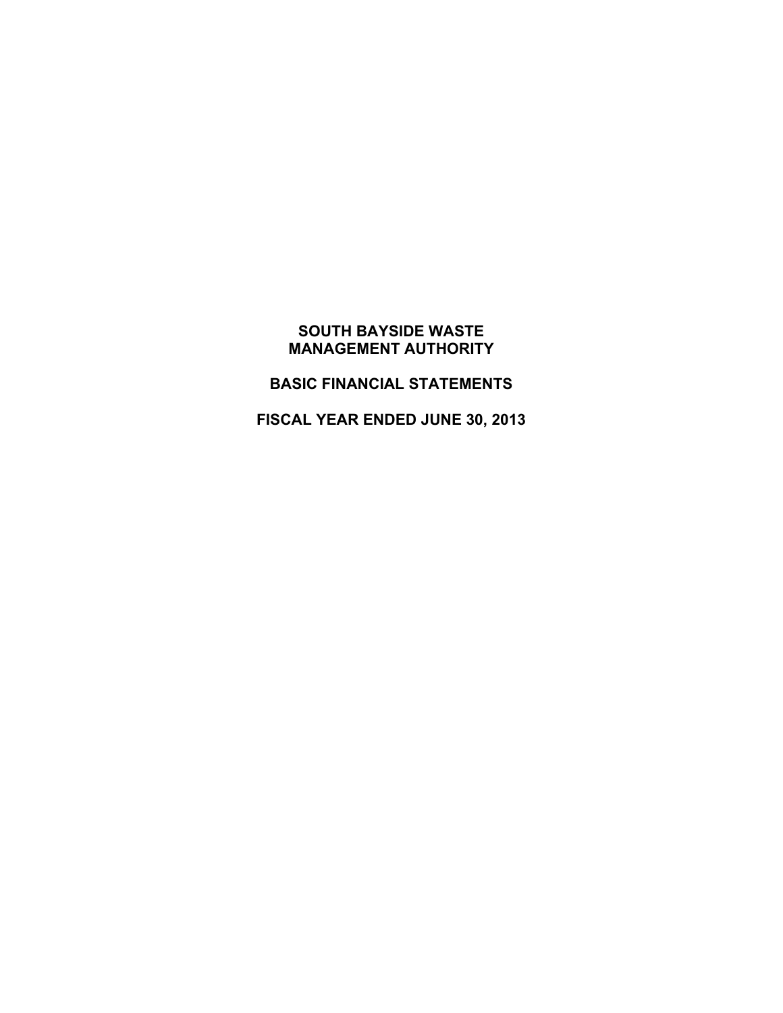# **BASIC FINANCIAL STATEMENTS**

**FISCAL YEAR ENDED JUNE 30, 2013**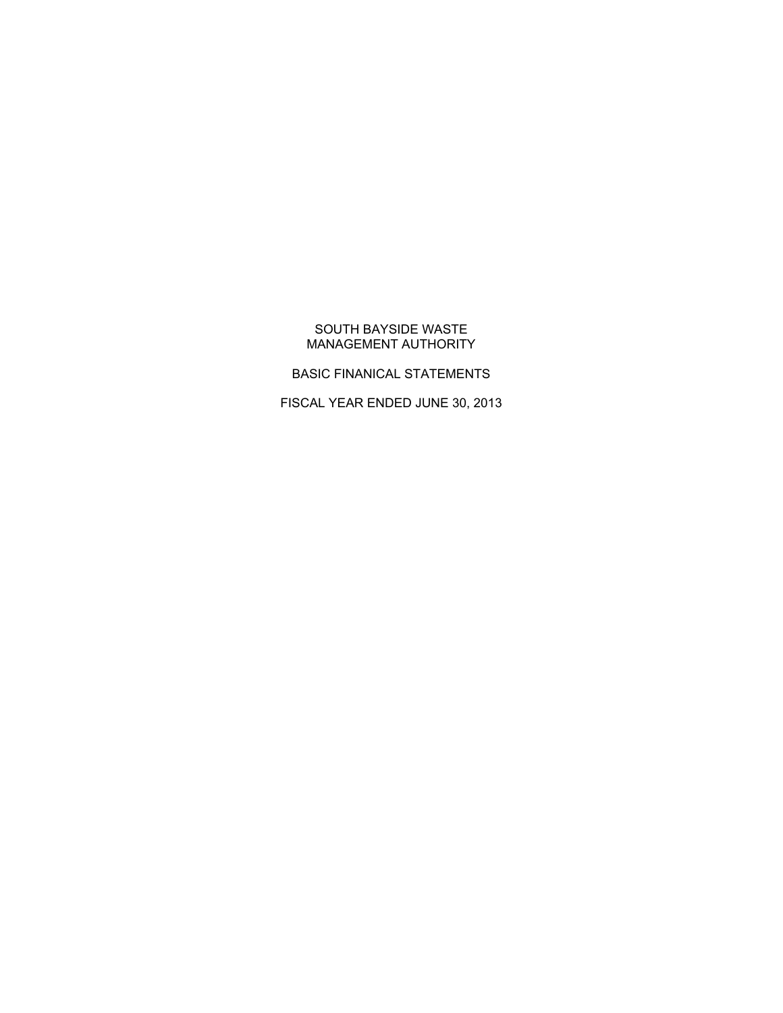# BASIC FINANICAL STATEMENTS

FISCAL YEAR ENDED JUNE 30, 2013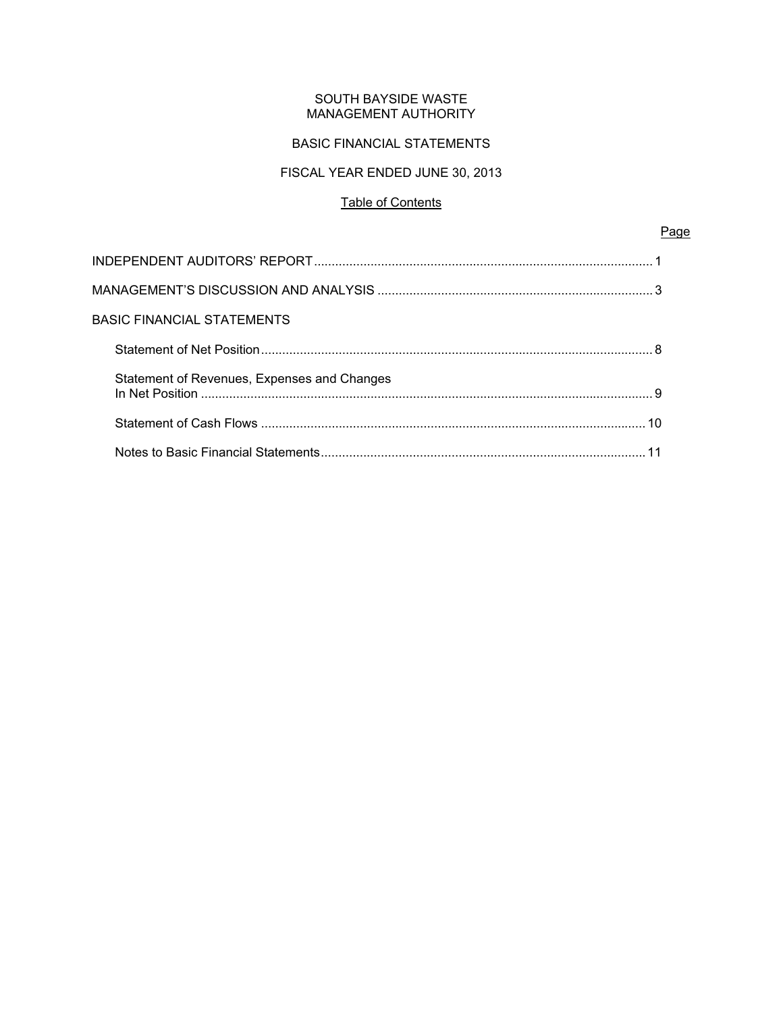# BASIC FINANCIAL STATEMENTS

# FISCAL YEAR ENDED JUNE 30, 2013

# Table of Contents

Page

| BASIC FINANCIAL STATEMENTS                  |  |
|---------------------------------------------|--|
|                                             |  |
| Statement of Revenues, Expenses and Changes |  |
|                                             |  |
|                                             |  |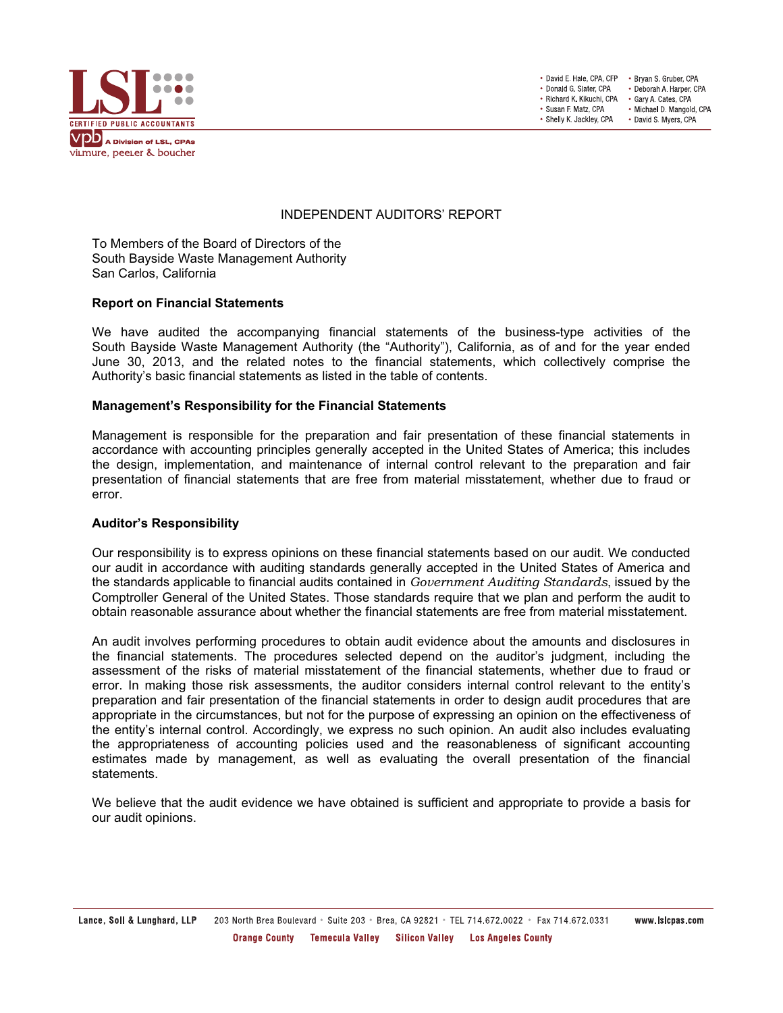

• David E. Hale, CPA, CFP . Bryan S. Gruber, CPA • Donald G. Slater, CPA • Deborah A. Harper, CPA • Richard K. Kikuchi, CPA • Gary A. Cates, CPA • Susan F. Matz, CPA · Michael D. Mangold, CPA • Shelly K. Jackley, CPA • David S. Myers, CPA

# INDEPENDENT AUDITORS' REPORT

To Members of the Board of Directors of the South Bayside Waste Management Authority San Carlos, California

#### **Report on Financial Statements**

We have audited the accompanying financial statements of the business-type activities of the South Bayside Waste Management Authority (the "Authority"), California, as of and for the year ended June 30, 2013, and the related notes to the financial statements, which collectively comprise the Authority's basic financial statements as listed in the table of contents.

#### **Management's Responsibility for the Financial Statements**

Management is responsible for the preparation and fair presentation of these financial statements in accordance with accounting principles generally accepted in the United States of America; this includes the design, implementation, and maintenance of internal control relevant to the preparation and fair presentation of financial statements that are free from material misstatement, whether due to fraud or error.

## **Auditor's Responsibility**

Our responsibility is to express opinions on these financial statements based on our audit. We conducted our audit in accordance with auditing standards generally accepted in the United States of America and the standards applicable to financial audits contained in *Government Auditing Standards*, issued by the Comptroller General of the United States. Those standards require that we plan and perform the audit to obtain reasonable assurance about whether the financial statements are free from material misstatement.

An audit involves performing procedures to obtain audit evidence about the amounts and disclosures in the financial statements. The procedures selected depend on the auditor's judgment, including the assessment of the risks of material misstatement of the financial statements, whether due to fraud or error. In making those risk assessments, the auditor considers internal control relevant to the entity's preparation and fair presentation of the financial statements in order to design audit procedures that are appropriate in the circumstances, but not for the purpose of expressing an opinion on the effectiveness of the entity's internal control. Accordingly, we express no such opinion. An audit also includes evaluating the appropriateness of accounting policies used and the reasonableness of significant accounting estimates made by management, as well as evaluating the overall presentation of the financial statements.

We believe that the audit evidence we have obtained is sufficient and appropriate to provide a basis for our audit opinions.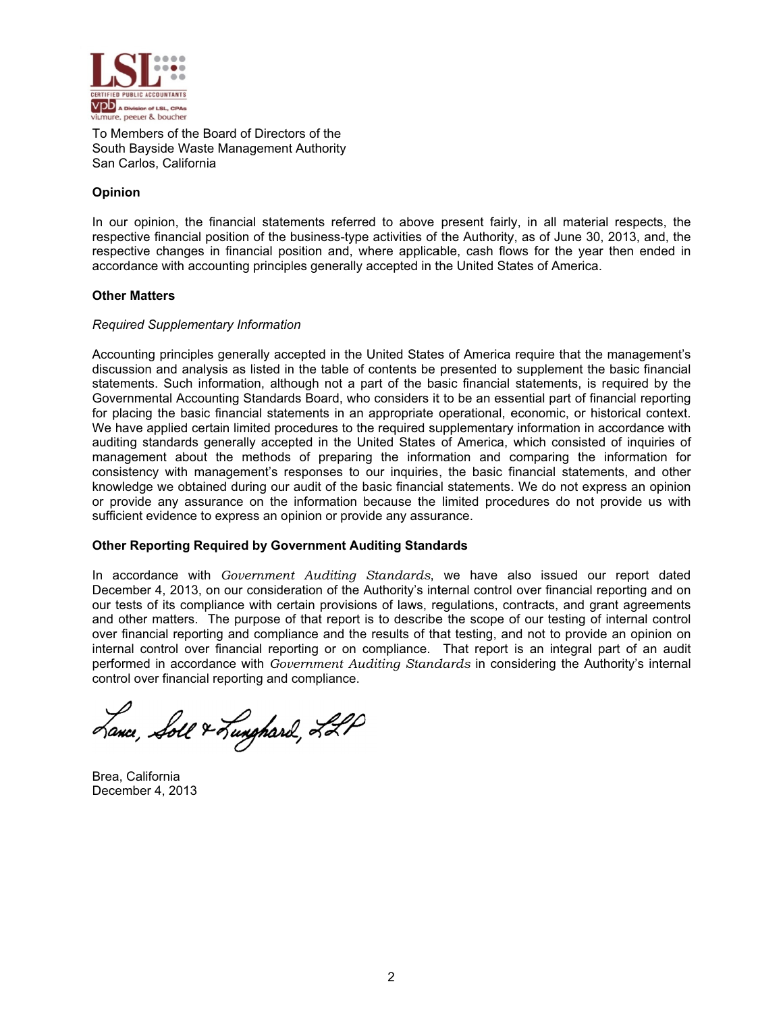

To Members of the Board of Directors of the South Bayside Waste Management Authority San Carlos, California

# **Opinion**

In our opinion, the financial statements referred to above present fairly, in all material respects, the respective financial position of the business-type activities of the Authority, as of June 30, 2013, and, the respective changes in financial position and, where applicable, cash flows for the year then ended in accordance with accounting principles generally accepted in the United States of America.

# **Other Ma atters**

# *Required Supplementary Information*

Accounting principles generally accepted in the United States of America require that the management's discussion and analysis as listed in the table of contents be presented to supplement the basic financial statements. Such information, although not a part of the basic financial statements, is required by the Governmental Accounting Standards Board, who considers it to be an essential part of financial reporting for placing the basic financial statements in an appropriate operational, economic, or historical context. We have applied certain limited procedures to the required supplementary information in accordance with auditing standards generally accepted in the United States of America, which consisted of inquiries of management about the methods of preparing the information and comparing the information for consistency with management's responses to our inquiries, the basic financial statements, and other knowledge we obtained during our audit of the basic financial statements. We do not express an opinion or provide any assurance on the information because the limited procedures do not provide us with sufficient evidence to express an opinion or provide any assurance.

# **Other Reporting Required by Government Auditing Standards**

In accordance with Government Auditing Standards, we have also issued our report dated December 4, 2013, on our consideration of the Authority's internal control over financial reporting and on our tests of its compliance with certain provisions of laws, regulations, contracts, and grant agreements and other matters. The purpose of that report is to describe the scope of our testing of internal control over financial reporting and compliance and the results of that testing, and not to provide an opinion on internal control over financial reporting or on compliance. That report is an integral part of an audit performed in accordance with *Government Auditing Standards* in considering the Authority's internal control over financial reporting and compliance.

Lance, Soll & Lunghard, LLP

Brea, Cal ifornia December 4, 2013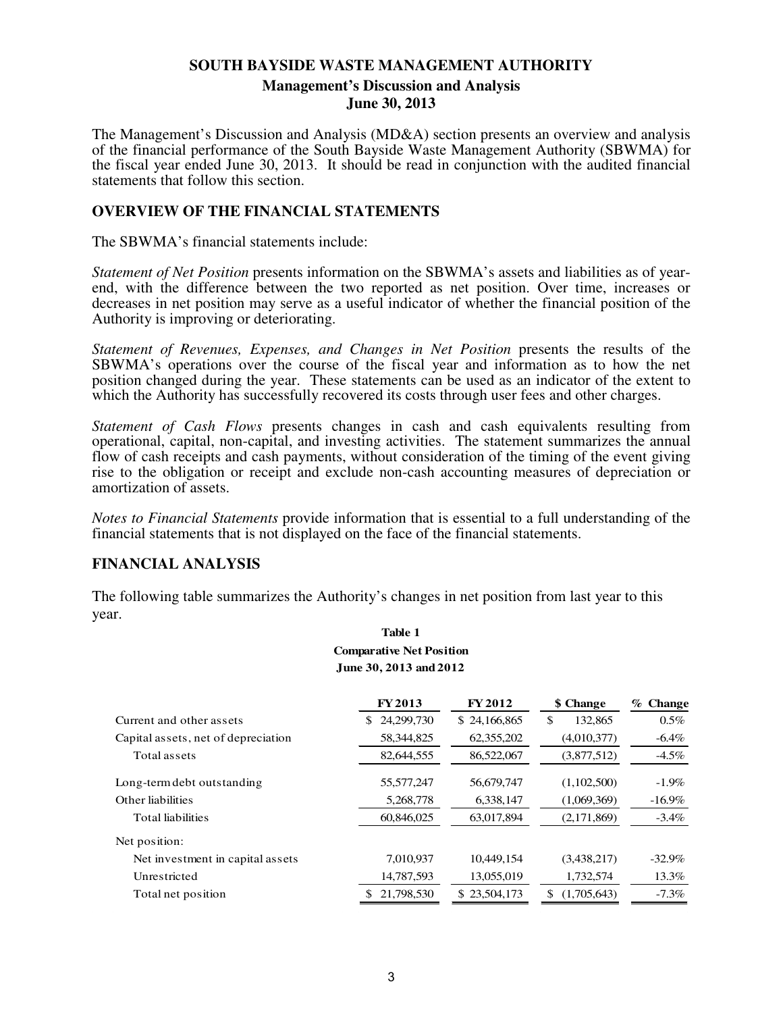# **SOUTH BAYSIDE WASTE MANAGEMENT AUTHORITY Management's Discussion and Analysis June 30, 2013**

The Management's Discussion and Analysis (MD&A) section presents an overview and analysis of the financial performance of the South Bayside Waste Management Authority (SBWMA) for the fiscal year ended June 30, 2013. It should be read in conjunction with the audited financial statements that follow this section.

# **OVERVIEW OF THE FINANCIAL STATEMENTS**

The SBWMA's financial statements include:

*Statement of Net Position* presents information on the SBWMA's assets and liabilities as of yearend, with the difference between the two reported as net position. Over time, increases or decreases in net position may serve as a useful indicator of whether the financial position of the Authority is improving or deteriorating.

*Statement of Revenues, Expenses, and Changes in Net Position* presents the results of the SBWMA's operations over the course of the fiscal year and information as to how the net position changed during the year. These statements can be used as an indicator of the extent to which the Authority has successfully recovered its costs through user fees and other charges.

*Statement of Cash Flows* presents changes in cash and cash equivalents resulting from operational, capital, non-capital, and investing activities. The statement summarizes the annual flow of cash receipts and cash payments, without consideration of the timing of the event giving rise to the obligation or receipt and exclude non-cash accounting measures of depreciation or amortization of assets.

*Notes to Financial Statements* provide information that is essential to a full understanding of the financial statements that is not displayed on the face of the financial statements.

# **FINANCIAL ANALYSIS**

The following table summarizes the Authority's changes in net position from last year to this year.

|                                     | <b>Comparative Net Position</b><br>June 30, 2013 and 2012 |                |                   |            |
|-------------------------------------|-----------------------------------------------------------|----------------|-------------------|------------|
|                                     | <b>FY2013</b>                                             | <b>FY 2012</b> | \$ Change         | $%$ Change |
| Current and other assets            | 24,299,730<br>SS.                                         | \$24,166,865   | \$<br>132,865     | $0.5\%$    |
| Capital assets, net of depreciation | 58,344,825                                                | 62,355,202     | (4,010,377)       | $-6.4\%$   |
| Total assets                        | 82,644,555                                                | 86,522,067     | (3,877,512)       | $-4.5\%$   |
| Long-term debt outstanding          | 55,577,247                                                | 56,679,747     | (1,102,500)       | $-1.9\%$   |
| Other liabilities                   | 5,268,778                                                 | 6,338,147      | (1,069,369)       | $-16.9\%$  |
| <b>Total liabilities</b>            | 60,846,025                                                | 63,017,894     | (2,171,869)       | $-3.4\%$   |
| Net position:                       |                                                           |                |                   |            |
| Net investment in capital assets    | 7,010,937                                                 | 10,449,154     | (3,438,217)       | $-32.9%$   |
| Unrestricted                        | 14,787,593                                                | 13,055,019     | 1,732,574         | 13.3%      |
| Total net position                  | 21,798,530                                                | \$23,504,173   | \$<br>(1,705,643) | $-7.3\%$   |

# **Table 1**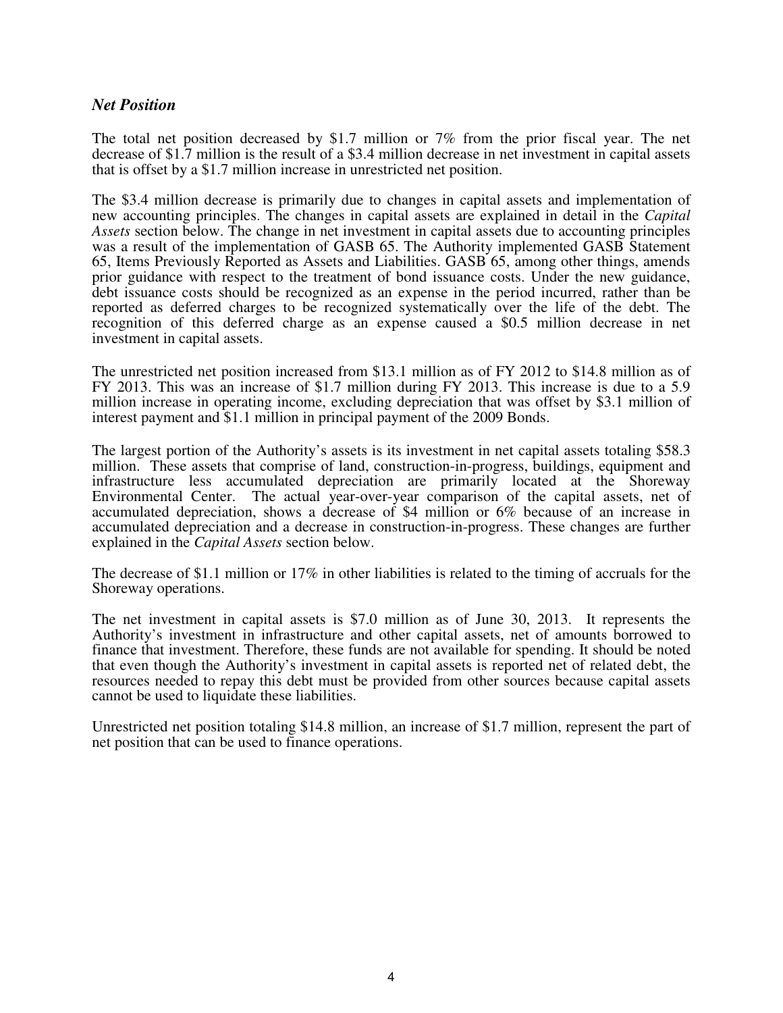# *Net Position*

The total net position decreased by \$1.7 million or 7% from the prior fiscal year. The net decrease of \$1.7 million is the result of a \$3.4 million decrease in net investment in capital assets that is offset by a \$1.7 million increase in unrestricted net position.

The \$3.4 million decrease is primarily due to changes in capital assets and implementation of new accounting principles. The changes in capital assets are explained in detail in the *Capital Assets* section below. The change in net investment in capital assets due to accounting principles was a result of the implementation of GASB 65. The Authority implemented GASB Statement 65, Items Previously Reported as Assets and Liabilities. GASB 65, among other things, amends prior guidance with respect to the treatment of bond issuance costs. Under the new guidance, debt issuance costs should be recognized as an expense in the period incurred, rather than be reported as deferred charges to be recognized systematically over the life of the debt. The recognition of this deferred charge as an expense caused a \$0.5 million decrease in net investment in capital assets.

The unrestricted net position increased from \$13.1 million as of FY 2012 to \$14.8 million as of FY 2013. This was an increase of \$1.7 million during FY 2013. This increase is due to a 5.9 million increase in operating income, excluding depreciation that was offset by \$3.1 million of interest payment and \$1.1 million in principal payment of the 2009 Bonds.

The largest portion of the Authority's assets is its investment in net capital assets totaling \$58.3 million. These assets that comprise of land, construction-in-progress, buildings, equipment and infrastructure less accumulated depreciation are primarily located at the Shoreway Environmental Center. The actual year-over-year comparison of the capital assets, net of accumulated depreciation, shows a decrease of \$4 million or 6% because of an increase in accumulated depreciation and a decrease in construction-in-progress. These changes are further explained in the *Capital Assets* section below.

The decrease of \$1.1 million or 17% in other liabilities is related to the timing of accruals for the Shoreway operations.

The net investment in capital assets is \$7.0 million as of June 30, 2013. It represents the Authority's investment in infrastructure and other capital assets, net of amounts borrowed to finance that investment. Therefore, these funds are not available for spending. It should be noted that even though the Authority's investment in capital assets is reported net of related debt, the resources needed to repay this debt must be provided from other sources because capital assets cannot be used to liquidate these liabilities.

Unrestricted net position totaling \$14.8 million, an increase of \$1.7 million, represent the part of net position that can be used to finance operations.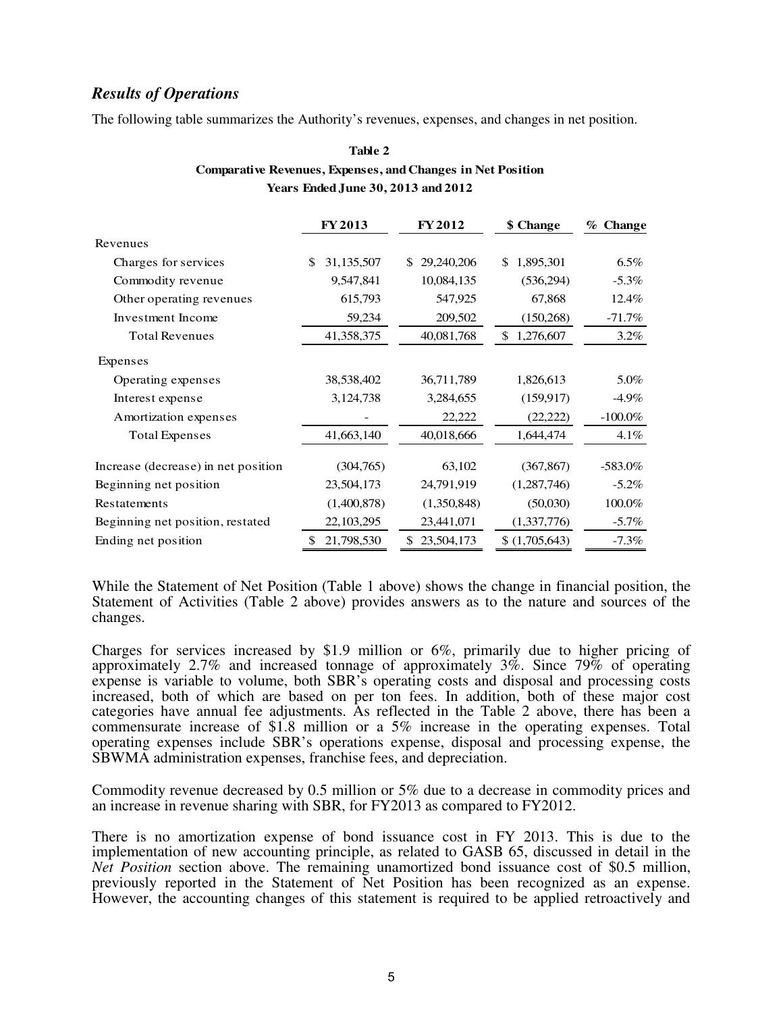# *Results of Operations*

The following table summarizes the Authority's revenues, expenses, and changes in net position.

# **Table 2 Comparative Revenues, Expenses, and Changes in Net Position Years Ended June 30, 2013 and 2012**

|                                     | <b>FY2013</b>       | <b>FY2012</b>    | \$ Change        | % Change   |
|-------------------------------------|---------------------|------------------|------------------|------------|
| Revenues                            |                     |                  |                  |            |
| Charges for services                | 31, 135, 507<br>\$. | 29,240,206<br>\$ | 1,895,301<br>\$. | $6.5\%$    |
| Commodity revenue                   | 9,547,841           | 10,084,135       | (536,294)        | $-5.3\%$   |
| Other operating revenues            | 615,793             | 547,925          | 67,868           | 12.4%      |
| Investment Income                   | 59,234              | 209,502          | (150, 268)       | $-71.7\%$  |
| <b>Total Revenues</b>               | 41,358,375          | 40,081,768       | 1,276,607<br>\$  | $3.2\%$    |
| Expenses                            |                     |                  |                  |            |
| Operating expenses                  | 38,538,402          | 36,711,789       | 1,826,613        | 5.0%       |
| Interest expense                    | 3,124,738           | 3,284,655        | (159, 917)       | $-4.9\%$   |
| Amortization expenses               |                     | 22,222           | (22, 222)        | $-100.0\%$ |
| Total Expenses                      | 41,663,140          | 40,018,666       | 1,644,474        | $4.1\%$    |
| Increase (decrease) in net position | (304,765)           | 63,102           | (367, 867)       | $-583.0\%$ |
| Beginning net position              | 23,504,173          | 24,791,919       | (1,287,746)      | $-5.2\%$   |
| Restatements                        | (1,400,878)         | (1,350,848)      | (50,030)         | 100.0%     |
| Beginning net position, restated    | 22, 103, 295        | 23,441,071       | (1,337,776)      | $-5.7\%$   |
| Ending net position                 | 21,798,530<br>S     | 23,504,173<br>\$ | (1,705,643)      | $-7.3\%$   |

While the Statement of Net Position (Table 1 above) shows the change in financial position, the Statement of Activities (Table 2 above) provides answers as to the nature and sources of the changes.

Charges for services increased by \$1.9 million or 6%, primarily due to higher pricing of approximately 2.7% and increased tonnage of approximately 3%. Since 79% of operating expense is variable to volume, both SBR's operating costs and disposal and processing costs increased, both of which are based on per ton fees. In addition, both of these major cost categories have annual fee adjustments. As reflected in the Table 2 above, there has been a commensurate increase of \$1.8 million or a 5% increase in the operating expenses. Total operating expenses include SBR's operations expense, disposal and processing expense, the SBWMA administration expenses, franchise fees, and depreciation.

Commodity revenue decreased by 0.5 million or 5% due to a decrease in commodity prices and an increase in revenue sharing with SBR, for FY2013 as compared to FY2012.

There is no amortization expense of bond issuance cost in FY 2013. This is due to the implementation of new accounting principle, as related to GASB 65, discussed in detail in the *Net Position* section above. The remaining unamortized bond issuance cost of \$0.5 million, previously reported in the Statement of Net Position has been recognized as an expense. However, the accounting changes of this statement is required to be applied retroactively and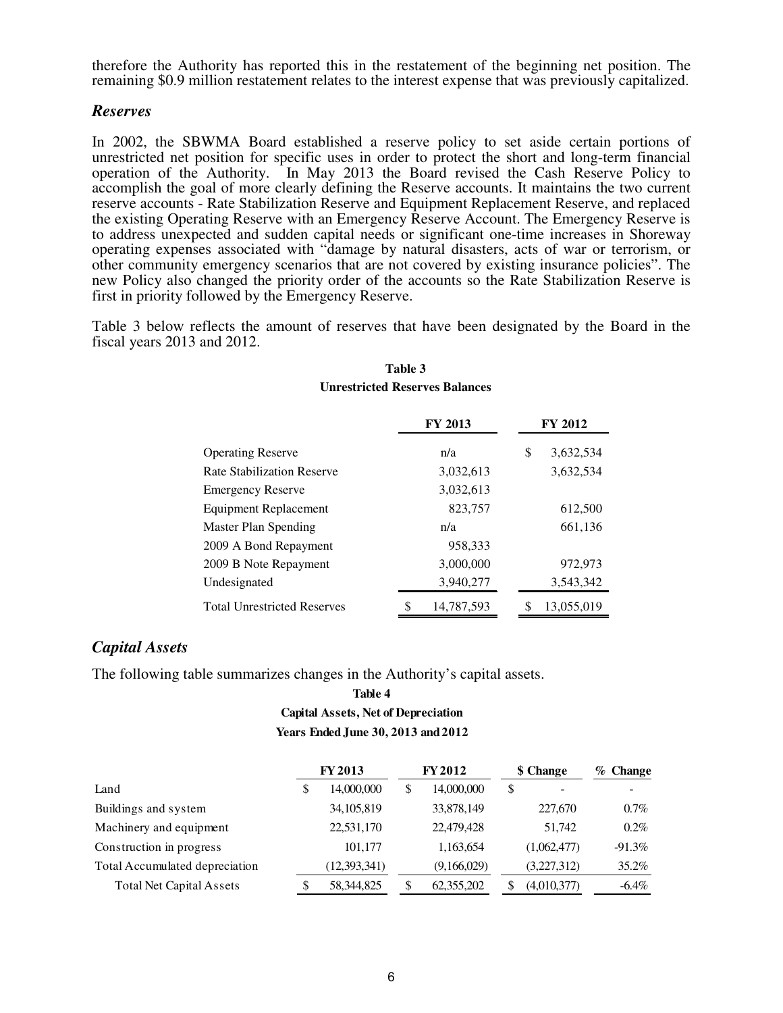therefore the Authority has reported this in the restatement of the beginning net position. The remaining \$0.9 million restatement relates to the interest expense that was previously capitalized.

# *Reserves*

In 2002, the SBWMA Board established a reserve policy to set aside certain portions of unrestricted net position for specific uses in order to protect the short and long-term financial operation of the Authority. In May 2013 the Board revised the Cash Reserve Policy to accomplish the goal of more clearly defining the Reserve accounts. It maintains the two current reserve accounts - Rate Stabilization Reserve and Equipment Replacement Reserve, and replaced the existing Operating Reserve with an Emergency Reserve Account. The Emergency Reserve is to address unexpected and sudden capital needs or significant one-time increases in Shoreway operating expenses associated with "damage by natural disasters, acts of war or terrorism, or other community emergency scenarios that are not covered by existing insurance policies". The new Policy also changed the priority order of the accounts so the Rate Stabilization Reserve is first in priority followed by the Emergency Reserve.

Table 3 below reflects the amount of reserves that have been designated by the Board in the fiscal years 2013 and 2012.

|                                    | <b>FY 2013</b> |            |    | <b>FY 2012</b> |  |  |
|------------------------------------|----------------|------------|----|----------------|--|--|
| <b>Operating Reserve</b>           |                | n/a        | \$ | 3,632,534      |  |  |
| <b>Rate Stabilization Reserve</b>  |                | 3,032,613  |    | 3,632,534      |  |  |
| <b>Emergency Reserve</b>           |                | 3,032,613  |    |                |  |  |
| Equipment Replacement              |                | 823,757    |    | 612,500        |  |  |
| Master Plan Spending               |                | n/a        |    | 661,136        |  |  |
| 2009 A Bond Repayment              |                | 958,333    |    |                |  |  |
| 2009 B Note Repayment              |                | 3,000,000  |    | 972,973        |  |  |
| Undesignated                       |                | 3,940,277  |    | 3,543,342      |  |  |
| <b>Total Unrestricted Reserves</b> | \$             | 14,787,593 |    | 13.055.019     |  |  |

# **Table 3 Unrestricted Reserves Balances**

# *Capital Assets*

The following table summarizes changes in the Authority's capital assets.

# **Years Ended June 30, 2013 and 2012 Capital Assets, Net of Depreciation Table 4**

|                                 | <b>FY 2013</b>     | <b>FY 2012</b>   |   | \$ Change   | $%$ Change |
|---------------------------------|--------------------|------------------|---|-------------|------------|
| Land                            | \$<br>14,000,000   | \$<br>14,000,000 | S |             |            |
| Buildings and system            | 34, 105, 819       | 33,878,149       |   | 227,670     | $0.7\%$    |
| Machinery and equipment         | 22,531,170         | 22,479,428       |   | 51.742      | $0.2\%$    |
| Construction in progress        | 101,177            | 1,163,654        |   | (1,062,477) | $-91.3\%$  |
| Total Accumulated depreciation  | (12, 393, 341)     | (9,166,029)      |   | (3,227,312) | 35.2%      |
| <b>Total Net Capital Assets</b> | \$<br>58, 344, 825 | 62,355,202       |   | (4,010,377) | $-6.4\%$   |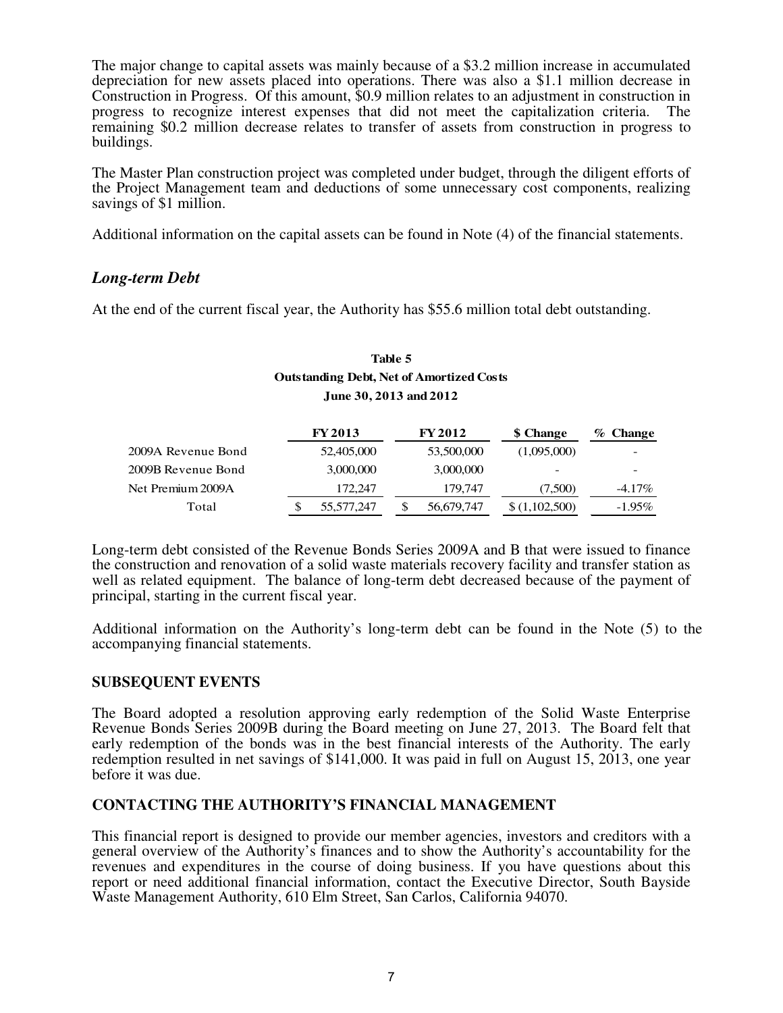The major change to capital assets was mainly because of a \$3.2 million increase in accumulated depreciation for new assets placed into operations. There was also a \$1.1 million decrease in Construction in Progress. Of this amount, \$0.9 million relates to an adjustment in construction in progress to recognize interest expenses that did not meet the capitalization criteria. The remaining \$0.2 million decrease relates to transfer of assets from construction in progress to buildings.

The Master Plan construction project was completed under budget, through the diligent efforts of the Project Management team and deductions of some unnecessary cost components, realizing savings of \$1 million.

Additional information on the capital assets can be found in Note (4) of the financial statements.

# *Long-term Debt*

At the end of the current fiscal year, the Authority has \$55.6 million total debt outstanding.

# **Table 5 Outstanding Debt, Net of Amortized Costs June 30, 2013 and 2012**

|                    | <b>FY 2013</b> | <b>FY 2012</b> | <b>\$</b> Change         | $\%$ Change |
|--------------------|----------------|----------------|--------------------------|-------------|
| 2009A Revenue Bond | 52,405,000     | 53,500,000     | (1,095,000)              |             |
| 2009B Revenue Bond | 3,000,000      | 3,000,000      | $\overline{\phantom{a}}$ |             |
| Net Premium 2009A  | 172.247        | 179,747        | (7,500)                  | $-4.17\%$   |
| Total              | 55,577,247     | 56,679,747     | \$(1,102,500)            | $-1.95\%$   |

Long-term debt consisted of the Revenue Bonds Series 2009A and B that were issued to finance the construction and renovation of a solid waste materials recovery facility and transfer station as well as related equipment. The balance of long-term debt decreased because of the payment of principal, starting in the current fiscal year.

Additional information on the Authority's long-term debt can be found in the Note (5) to the accompanying financial statements.

# **SUBSEQUENT EVENTS**

The Board adopted a resolution approving early redemption of the Solid Waste Enterprise Revenue Bonds Series 2009B during the Board meeting on June 27, 2013. The Board felt that early redemption of the bonds was in the best financial interests of the Authority. The early redemption resulted in net savings of \$141,000. It was paid in full on August 15, 2013, one year before it was due.

# **CONTACTING THE AUTHORITY'S FINANCIAL MANAGEMENT**

This financial report is designed to provide our member agencies, investors and creditors with a general overview of the Authority's finances and to show the Authority's accountability for the revenues and expenditures in the course of doing business. If you have questions about this report or need additional financial information, contact the Executive Director, South Bayside Waste Management Authority, 610 Elm Street, San Carlos, California 94070.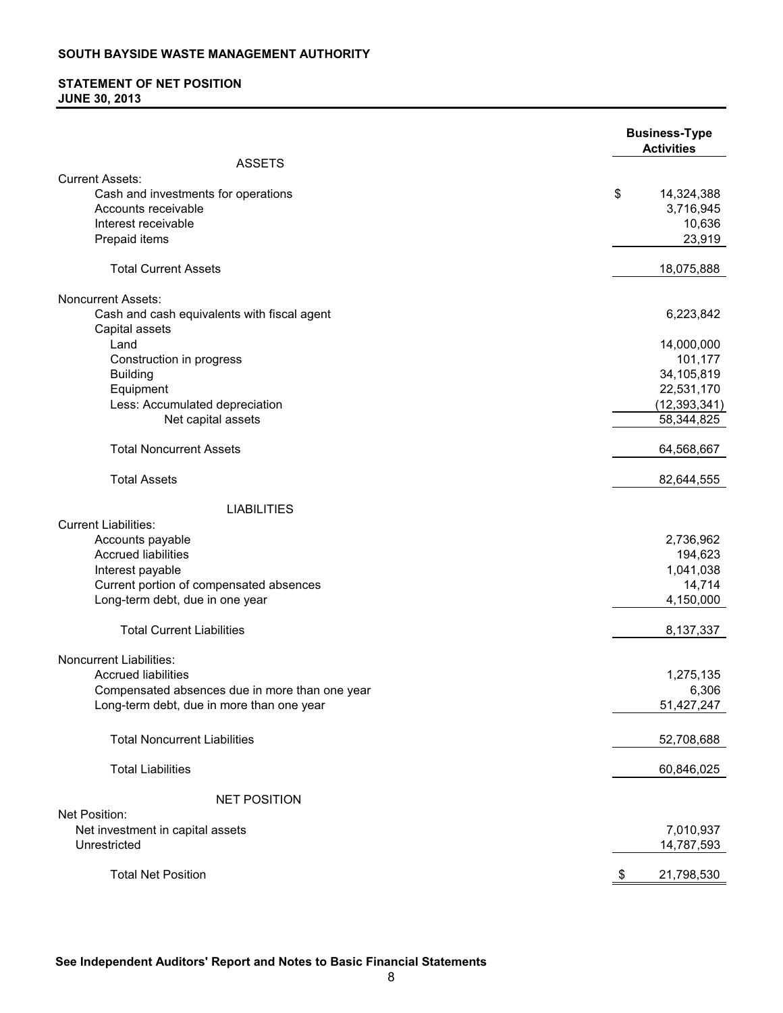# **STATEMENT OF NET POSITION JUNE 30, 2013**

|                                                  | <b>Business-Type</b><br><b>Activities</b> |
|--------------------------------------------------|-------------------------------------------|
| <b>ASSETS</b>                                    |                                           |
| <b>Current Assets:</b>                           |                                           |
| Cash and investments for operations              | \$<br>14,324,388                          |
| Accounts receivable                              | 3,716,945                                 |
| Interest receivable                              | 10,636                                    |
| Prepaid items                                    | 23,919                                    |
| <b>Total Current Assets</b>                      | 18,075,888                                |
| <b>Noncurrent Assets:</b>                        |                                           |
| Cash and cash equivalents with fiscal agent      | 6,223,842                                 |
| Capital assets                                   |                                           |
| Land                                             | 14,000,000                                |
| Construction in progress                         | 101,177                                   |
| <b>Building</b>                                  | 34,105,819                                |
| Equipment                                        | 22,531,170                                |
| Less: Accumulated depreciation                   | (12, 393, 341)                            |
| Net capital assets                               | 58,344,825                                |
| <b>Total Noncurrent Assets</b>                   | 64,568,667                                |
| <b>Total Assets</b>                              | 82,644,555                                |
| <b>LIABILITIES</b>                               |                                           |
| <b>Current Liabilities:</b>                      |                                           |
| Accounts payable                                 | 2,736,962                                 |
| <b>Accrued liabilities</b>                       | 194,623                                   |
| Interest payable                                 | 1,041,038                                 |
| Current portion of compensated absences          | 14,714                                    |
| Long-term debt, due in one year                  | 4,150,000                                 |
| <b>Total Current Liabilities</b>                 | 8,137,337                                 |
| Noncurrent Liabilities:                          |                                           |
| <b>Accrued liabilities</b>                       | 1,275,135                                 |
| Compensated absences due in more than one year   | 6,306                                     |
| Long-term debt, due in more than one year        | 51,427,247                                |
| <b>Total Noncurrent Liabilities</b>              | 52,708,688                                |
| <b>Total Liabilities</b>                         | 60,846,025                                |
|                                                  |                                           |
| <b>NET POSITION</b><br>Net Position:             |                                           |
|                                                  |                                           |
| Net investment in capital assets<br>Unrestricted | 7,010,937                                 |
|                                                  | 14,787,593                                |
| <b>Total Net Position</b>                        | 21,798,530<br>P.                          |

**See Independent Auditors' Report and Notes to Basic Financial Statements**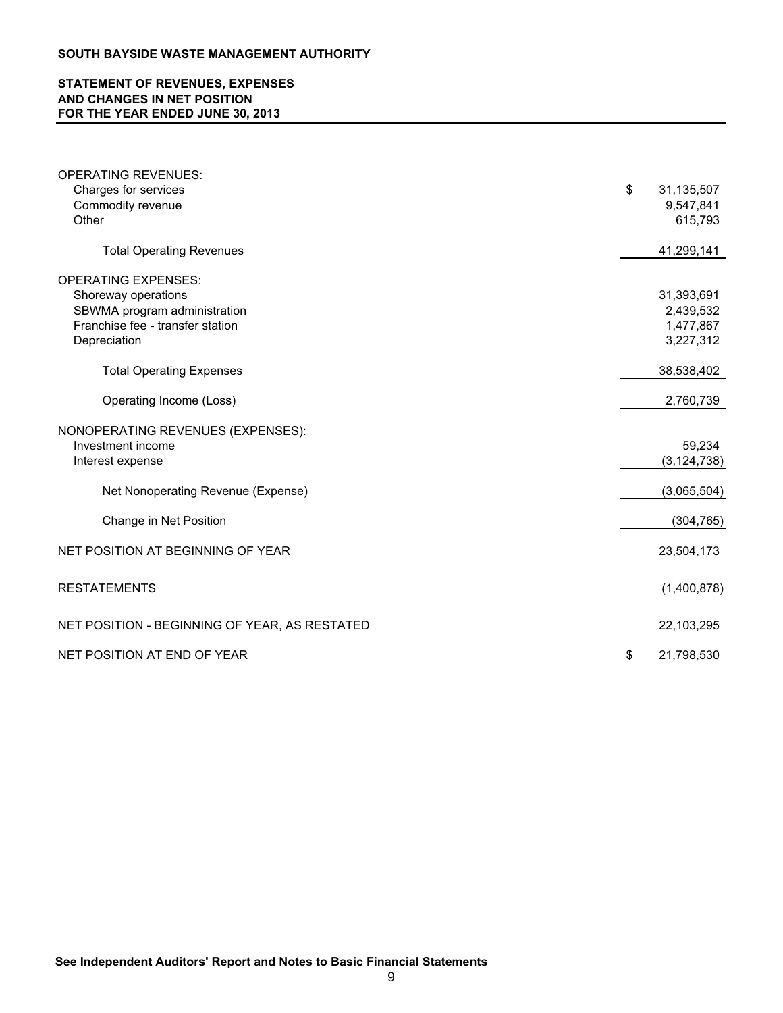# **STATEMENT OF REVENUES, EXPENSES AND CHANGES IN NET POSITION FOR THE YEAR ENDED JUNE 30, 2013**

| <b>OPERATING REVENUES:</b>                                       |                        |
|------------------------------------------------------------------|------------------------|
| Charges for services                                             | \$<br>31,135,507       |
| Commodity revenue                                                | 9,547,841              |
| Other                                                            | 615,793                |
| <b>Total Operating Revenues</b>                                  | 41,299,141             |
|                                                                  |                        |
| <b>OPERATING EXPENSES:</b>                                       |                        |
| Shoreway operations                                              | 31,393,691             |
| SBWMA program administration<br>Franchise fee - transfer station | 2,439,532              |
| Depreciation                                                     | 1,477,867<br>3,227,312 |
|                                                                  |                        |
| <b>Total Operating Expenses</b>                                  | 38,538,402             |
| Operating Income (Loss)                                          | 2,760,739              |
| NONOPERATING REVENUES (EXPENSES):                                |                        |
| Investment income                                                | 59,234                 |
| Interest expense                                                 | (3, 124, 738)          |
| Net Nonoperating Revenue (Expense)                               | (3,065,504)            |
|                                                                  |                        |
| Change in Net Position                                           | (304, 765)             |
| NET POSITION AT BEGINNING OF YEAR                                | 23,504,173             |
| <b>RESTATEMENTS</b>                                              | (1,400,878)            |
|                                                                  |                        |
| NET POSITION - BEGINNING OF YEAR, AS RESTATED                    | 22,103,295             |
| NET POSITION AT END OF YEAR                                      | 21,798,530             |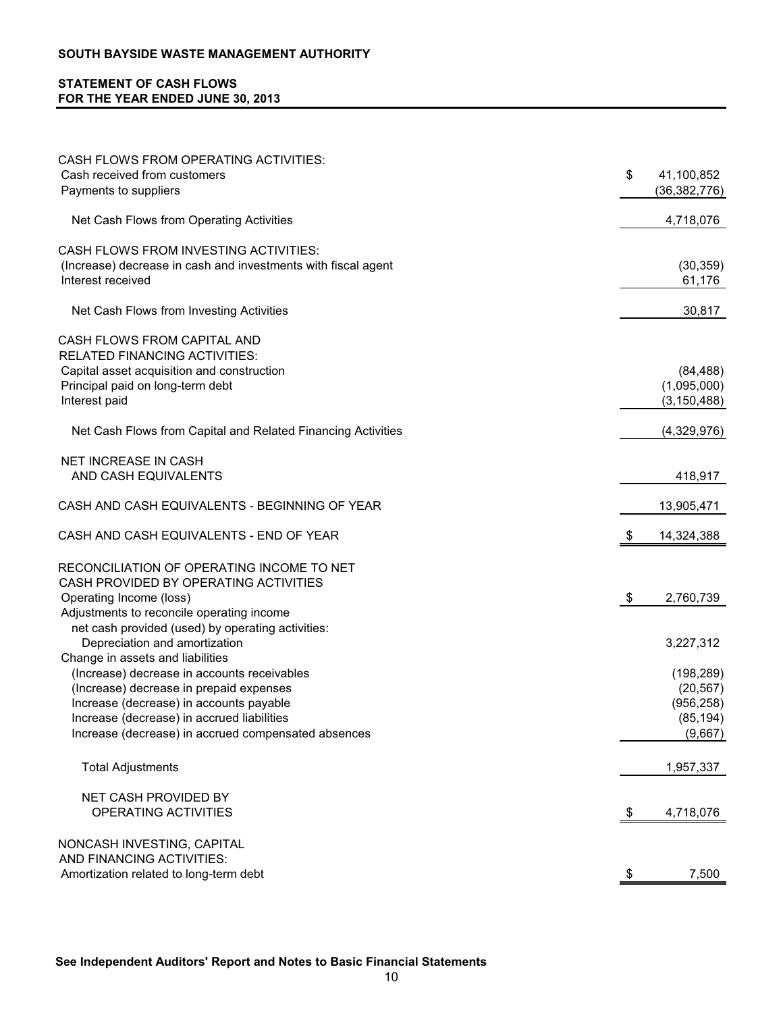# **STATEMENT OF CASH FLOWS FOR THE YEAR ENDED JUNE 30, 2013**

| CASH FLOWS FROM OPERATING ACTIVITIES:                                                  |                                    |
|----------------------------------------------------------------------------------------|------------------------------------|
| Cash received from customers<br>Payments to suppliers                                  | \$<br>41,100,852<br>(36, 382, 776) |
|                                                                                        |                                    |
| Net Cash Flows from Operating Activities                                               | 4,718,076                          |
| CASH FLOWS FROM INVESTING ACTIVITIES:                                                  |                                    |
| (Increase) decrease in cash and investments with fiscal agent                          | (30, 359)                          |
| Interest received                                                                      | 61,176                             |
| Net Cash Flows from Investing Activities                                               | 30,817                             |
| CASH FLOWS FROM CAPITAL AND                                                            |                                    |
| <b>RELATED FINANCING ACTIVITIES:</b>                                                   |                                    |
| Capital asset acquisition and construction                                             | (84, 488)                          |
| Principal paid on long-term debt                                                       | (1,095,000)                        |
| Interest paid                                                                          | (3, 150, 488)                      |
| Net Cash Flows from Capital and Related Financing Activities                           | (4,329,976)                        |
| <b>NET INCREASE IN CASH</b>                                                            |                                    |
| AND CASH EQUIVALENTS                                                                   | 418,917                            |
| CASH AND CASH EQUIVALENTS - BEGINNING OF YEAR                                          | 13,905,471                         |
| CASH AND CASH EQUIVALENTS - END OF YEAR                                                | \$<br>14,324,388                   |
| RECONCILIATION OF OPERATING INCOME TO NET                                              |                                    |
| CASH PROVIDED BY OPERATING ACTIVITIES                                                  |                                    |
| Operating Income (loss)                                                                | \$<br>2,760,739                    |
| Adjustments to reconcile operating income                                              |                                    |
| net cash provided (used) by operating activities:                                      |                                    |
| Depreciation and amortization                                                          | 3,227,312                          |
| Change in assets and liabilities                                                       |                                    |
| (Increase) decrease in accounts receivables<br>(Increase) decrease in prepaid expenses | (198, 289)<br>(20, 567)            |
| Increase (decrease) in accounts payable                                                | (956, 258)                         |
| Increase (decrease) in accrued liabilities                                             | (85, 194)                          |
| Increase (decrease) in accrued compensated absences                                    | (9,667)                            |
|                                                                                        |                                    |
| <b>Total Adjustments</b>                                                               | 1,957,337                          |
| NET CASH PROVIDED BY                                                                   |                                    |
| OPERATING ACTIVITIES                                                                   | \$<br>4,718,076                    |
| NONCASH INVESTING, CAPITAL                                                             |                                    |
| AND FINANCING ACTIVITIES:                                                              |                                    |
| Amortization related to long-term debt                                                 | \$<br>7,500                        |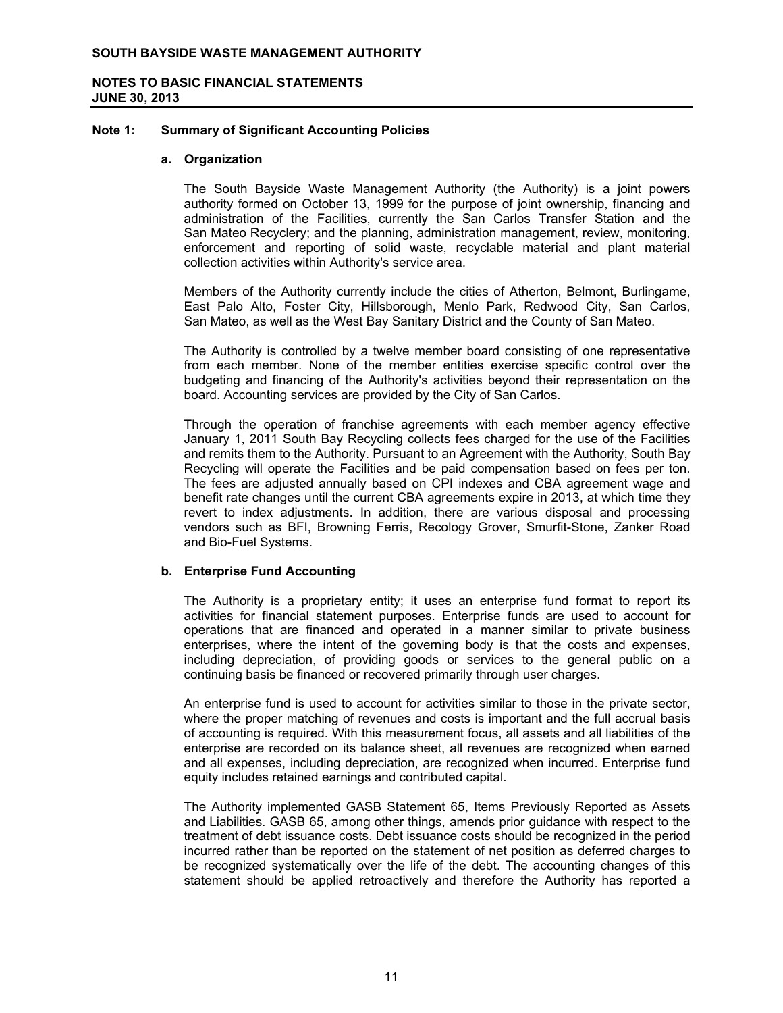# **NOTES TO BASIC FINANCIAL STATEMENTS JUNE 30, 2013**

#### **Note 1: Summary of Significant Accounting Policies**

#### **a. Organization**

The South Bayside Waste Management Authority (the Authority) is a joint powers authority formed on October 13, 1999 for the purpose of joint ownership, financing and administration of the Facilities, currently the San Carlos Transfer Station and the San Mateo Recyclery; and the planning, administration management, review, monitoring, enforcement and reporting of solid waste, recyclable material and plant material collection activities within Authority's service area.

Members of the Authority currently include the cities of Atherton, Belmont, Burlingame, East Palo Alto, Foster City, Hillsborough, Menlo Park, Redwood City, San Carlos, San Mateo, as well as the West Bay Sanitary District and the County of San Mateo.

The Authority is controlled by a twelve member board consisting of one representative from each member. None of the member entities exercise specific control over the budgeting and financing of the Authority's activities beyond their representation on the board. Accounting services are provided by the City of San Carlos.

Through the operation of franchise agreements with each member agency effective January 1, 2011 South Bay Recycling collects fees charged for the use of the Facilities and remits them to the Authority. Pursuant to an Agreement with the Authority, South Bay Recycling will operate the Facilities and be paid compensation based on fees per ton. The fees are adjusted annually based on CPI indexes and CBA agreement wage and benefit rate changes until the current CBA agreements expire in 2013, at which time they revert to index adjustments. In addition, there are various disposal and processing vendors such as BFI, Browning Ferris, Recology Grover, Smurfit-Stone, Zanker Road and Bio-Fuel Systems.

## **b. Enterprise Fund Accounting**

The Authority is a proprietary entity; it uses an enterprise fund format to report its activities for financial statement purposes. Enterprise funds are used to account for operations that are financed and operated in a manner similar to private business enterprises, where the intent of the governing body is that the costs and expenses, including depreciation, of providing goods or services to the general public on a continuing basis be financed or recovered primarily through user charges.

An enterprise fund is used to account for activities similar to those in the private sector, where the proper matching of revenues and costs is important and the full accrual basis of accounting is required. With this measurement focus, all assets and all liabilities of the enterprise are recorded on its balance sheet, all revenues are recognized when earned and all expenses, including depreciation, are recognized when incurred. Enterprise fund equity includes retained earnings and contributed capital.

The Authority implemented GASB Statement 65, Items Previously Reported as Assets and Liabilities. GASB 65, among other things, amends prior guidance with respect to the treatment of debt issuance costs. Debt issuance costs should be recognized in the period incurred rather than be reported on the statement of net position as deferred charges to be recognized systematically over the life of the debt. The accounting changes of this statement should be applied retroactively and therefore the Authority has reported a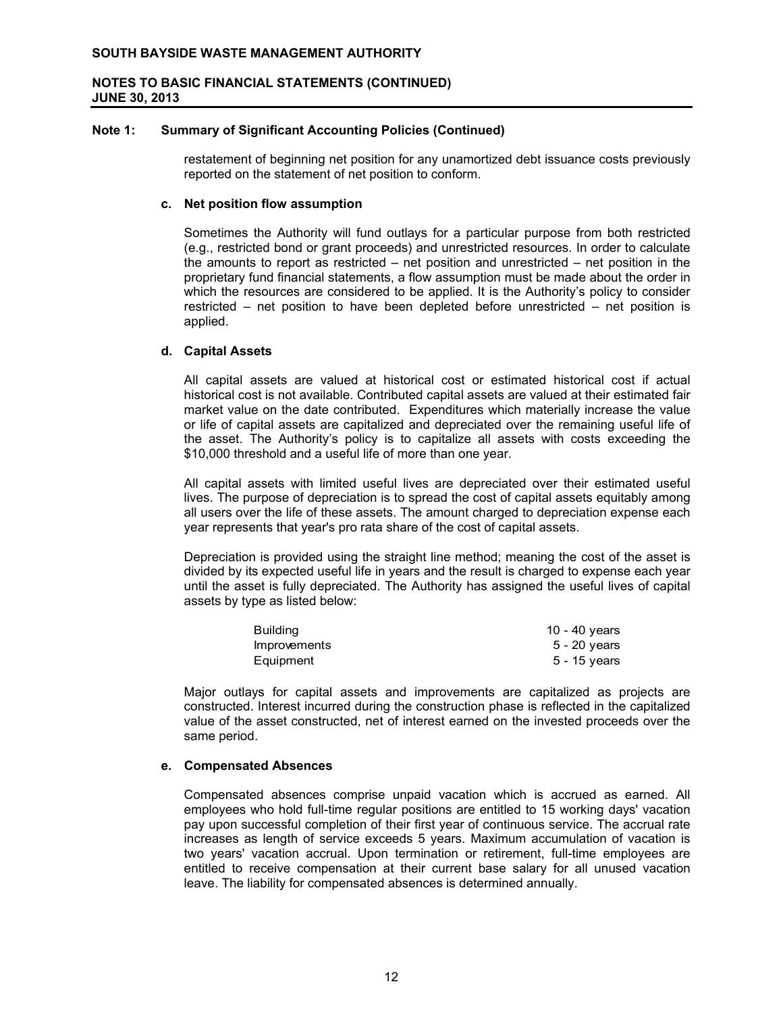#### **Note 1: Summary of Significant Accounting Policies (Continued)**

restatement of beginning net position for any unamortized debt issuance costs previously reported on the statement of net position to conform.

## **c. Net position flow assumption**

Sometimes the Authority will fund outlays for a particular purpose from both restricted (e.g., restricted bond or grant proceeds) and unrestricted resources. In order to calculate the amounts to report as restricted – net position and unrestricted – net position in the proprietary fund financial statements, a flow assumption must be made about the order in which the resources are considered to be applied. It is the Authority's policy to consider restricted – net position to have been depleted before unrestricted – net position is applied.

#### **d. Capital Assets**

All capital assets are valued at historical cost or estimated historical cost if actual historical cost is not available. Contributed capital assets are valued at their estimated fair market value on the date contributed. Expenditures which materially increase the value or life of capital assets are capitalized and depreciated over the remaining useful life of the asset. The Authority's policy is to capitalize all assets with costs exceeding the \$10,000 threshold and a useful life of more than one year.

All capital assets with limited useful lives are depreciated over their estimated useful lives. The purpose of depreciation is to spread the cost of capital assets equitably among all users over the life of these assets. The amount charged to depreciation expense each year represents that year's pro rata share of the cost of capital assets.

Depreciation is provided using the straight line method; meaning the cost of the asset is divided by its expected useful life in years and the result is charged to expense each year until the asset is fully depreciated. The Authority has assigned the useful lives of capital assets by type as listed below:

| Building     | 10 - 40 years  |
|--------------|----------------|
| Improvements | 5 - 20 vears   |
| Equipment    | $5 - 15$ years |

Major outlays for capital assets and improvements are capitalized as projects are constructed. Interest incurred during the construction phase is reflected in the capitalized value of the asset constructed, net of interest earned on the invested proceeds over the same period.

## **e. Compensated Absences**

Compensated absences comprise unpaid vacation which is accrued as earned. All employees who hold full-time regular positions are entitled to 15 working days' vacation pay upon successful completion of their first year of continuous service. The accrual rate increases as length of service exceeds 5 years. Maximum accumulation of vacation is two years' vacation accrual. Upon termination or retirement, full-time employees are entitled to receive compensation at their current base salary for all unused vacation leave. The liability for compensated absences is determined annually.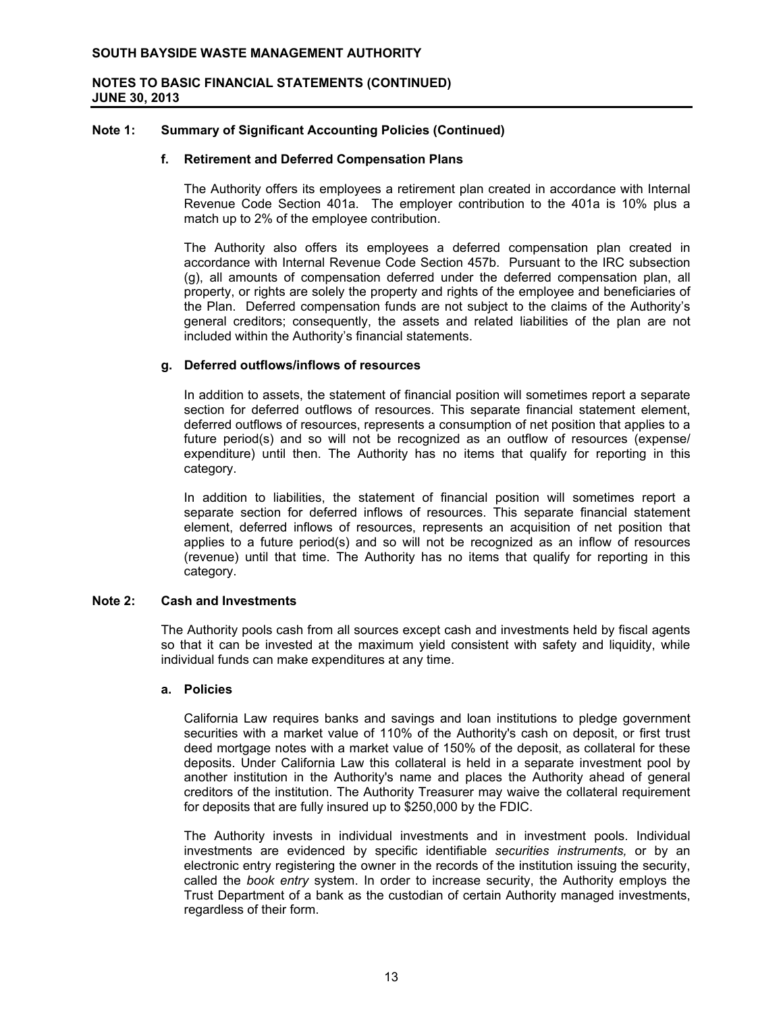#### **Note 1: Summary of Significant Accounting Policies (Continued)**

#### **f. Retirement and Deferred Compensation Plans**

The Authority offers its employees a retirement plan created in accordance with Internal Revenue Code Section 401a. The employer contribution to the 401a is 10% plus a match up to 2% of the employee contribution.

The Authority also offers its employees a deferred compensation plan created in accordance with Internal Revenue Code Section 457b. Pursuant to the IRC subsection (g), all amounts of compensation deferred under the deferred compensation plan, all property, or rights are solely the property and rights of the employee and beneficiaries of the Plan. Deferred compensation funds are not subject to the claims of the Authority's general creditors; consequently, the assets and related liabilities of the plan are not included within the Authority's financial statements.

# **g. Deferred outflows/inflows of resources**

In addition to assets, the statement of financial position will sometimes report a separate section for deferred outflows of resources. This separate financial statement element, deferred outflows of resources, represents a consumption of net position that applies to a future period(s) and so will not be recognized as an outflow of resources (expense/ expenditure) until then. The Authority has no items that qualify for reporting in this category.

In addition to liabilities, the statement of financial position will sometimes report a separate section for deferred inflows of resources. This separate financial statement element, deferred inflows of resources, represents an acquisition of net position that applies to a future period(s) and so will not be recognized as an inflow of resources (revenue) until that time. The Authority has no items that qualify for reporting in this category.

## **Note 2: Cash and Investments**

The Authority pools cash from all sources except cash and investments held by fiscal agents so that it can be invested at the maximum yield consistent with safety and liquidity, while individual funds can make expenditures at any time.

#### **a. Policies**

California Law requires banks and savings and loan institutions to pledge government securities with a market value of 110% of the Authority's cash on deposit, or first trust deed mortgage notes with a market value of 150% of the deposit, as collateral for these deposits. Under California Law this collateral is held in a separate investment pool by another institution in the Authority's name and places the Authority ahead of general creditors of the institution. The Authority Treasurer may waive the collateral requirement for deposits that are fully insured up to \$250,000 by the FDIC.

The Authority invests in individual investments and in investment pools. Individual investments are evidenced by specific identifiable *securities instruments,* or by an electronic entry registering the owner in the records of the institution issuing the security, called the *book entry* system. In order to increase security, the Authority employs the Trust Department of a bank as the custodian of certain Authority managed investments, regardless of their form.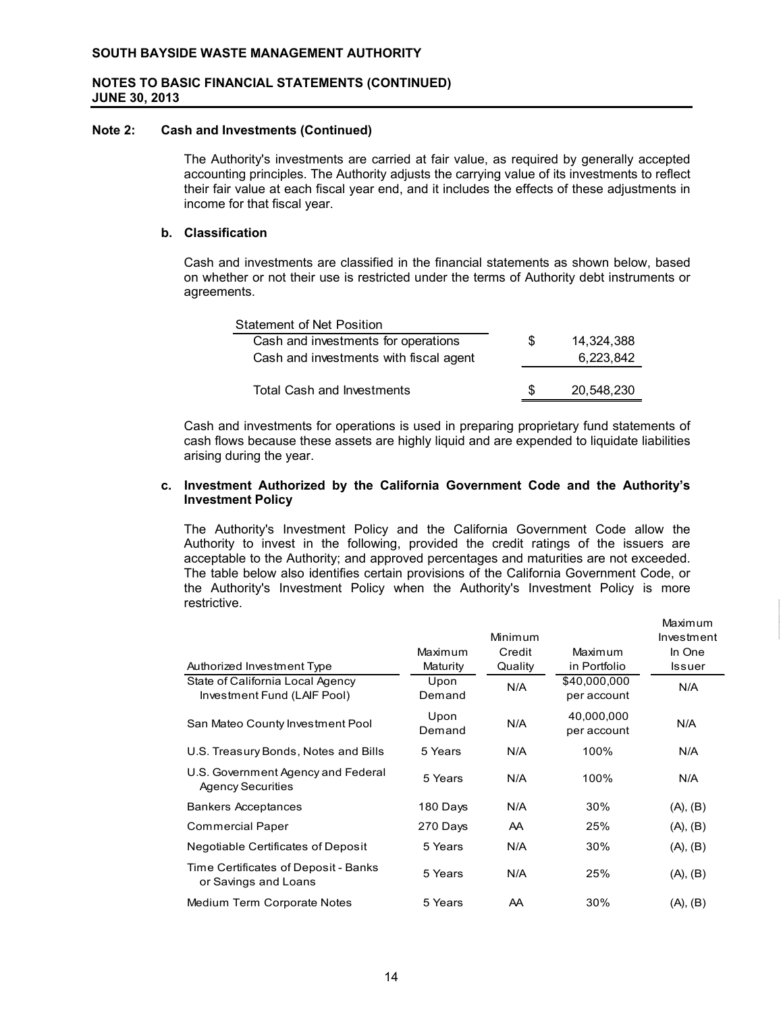#### **Note 2: Cash and Investments (Continued)**

The Authority's investments are carried at fair value, as required by generally accepted accounting principles. The Authority adjusts the carrying value of its investments to reflect their fair value at each fiscal year end, and it includes the effects of these adjustments in income for that fiscal year.

## **b. Classification**

Cash and investments are classified in the financial statements as shown below, based on whether or not their use is restricted under the terms of Authority debt instruments or agreements.

| <b>Statement of Net Position</b>       |     |            |
|----------------------------------------|-----|------------|
| Cash and investments for operations    | \$. | 14,324,388 |
| Cash and investments with fiscal agent |     | 6,223,842  |
|                                        |     |            |
| <b>Total Cash and Investments</b>      | \$. | 20.548.230 |

Cash and investments for operations is used in preparing proprietary fund statements of cash flows because these assets are highly liquid and are expended to liquidate liabilities arising during the year.

# **c. Investment Authorized by the California Government Code and the Authority's Investment Policy**

The Authority's Investment Policy and the California Government Code allow the Authority to invest in the following, provided the credit ratings of the issuers are acceptable to the Authority; and approved percentages and maturities are not exceeded. The table below also identifies certain provisions of the California Government Code, or the Authority's Investment Policy when the Authority's Investment Policy is more restrictive.

|                                                                 |                     | Minimum           |                             | Maximum<br>Investment |
|-----------------------------------------------------------------|---------------------|-------------------|-----------------------------|-----------------------|
| Authorized Investment Type                                      | Maximum<br>Maturity | Credit<br>Quality | Maximum<br>in Portfolio     | In One<br>Issuer      |
| State of California Local Agency<br>Investment Fund (LAIF Pool) | Upon<br>Demand      | N/A               | \$40,000,000<br>per account | N/A                   |
| San Mateo County Investment Pool                                | Upon<br>Demand      | N/A               | 40,000,000<br>per account   | N/A                   |
| U.S. Treasury Bonds, Notes and Bills                            | 5 Years             | N/A               | 100%                        | N/A                   |
| U.S. Government Agency and Federal<br><b>Agency Securities</b>  | 5 Years             | N/A               | 100%                        | N/A                   |
| <b>Bankers Acceptances</b>                                      | 180 Days            | N/A               | 30%                         | (A), (B)              |
| <b>Commercial Paper</b>                                         | 270 Days            | AA.               | 25%                         | (A), (B)              |
| Negotiable Certificates of Deposit                              | 5 Years             | N/A               | 30%                         | (A), (B)              |
| Time Certificates of Deposit - Banks<br>or Savings and Loans    | 5 Years             | N/A               | 25%                         | (A), (B)              |
| Medium Term Corporate Notes                                     | 5 Years             | AA                | 30%                         | (A), (B)              |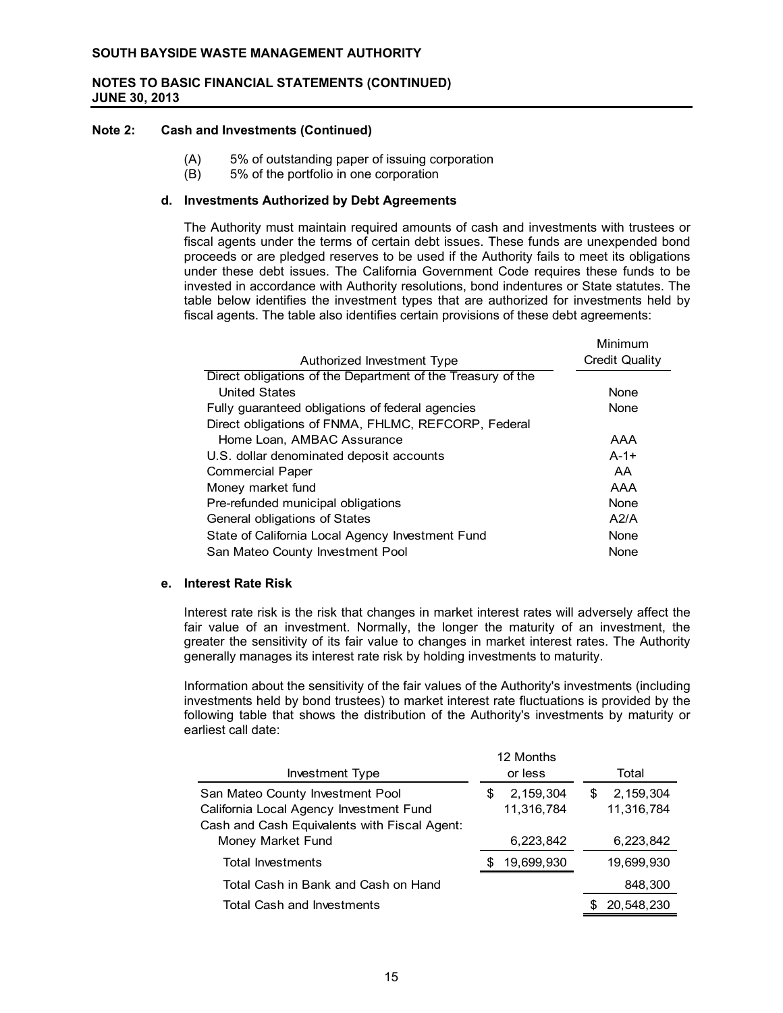#### **Note 2: Cash and Investments (Continued)**

- (A) 5% of outstanding paper of issuing corporation
- (B) 5% of the portfolio in one corporation

#### **d. Investments Authorized by Debt Agreements**

The Authority must maintain required amounts of cash and investments with trustees or fiscal agents under the terms of certain debt issues. These funds are unexpended bond proceeds or are pledged reserves to be used if the Authority fails to meet its obligations under these debt issues. The California Government Code requires these funds to be invested in accordance with Authority resolutions, bond indentures or State statutes. The table below identifies the investment types that are authorized for investments held by fiscal agents. The table also identifies certain provisions of these debt agreements:

|                                                             | Minimum        |
|-------------------------------------------------------------|----------------|
| Authorized Investment Type                                  | Credit Quality |
| Direct obligations of the Department of the Treasury of the |                |
| <b>United States</b>                                        | None           |
| Fully guaranteed obligations of federal agencies            | None           |
| Direct obligations of FNMA, FHLMC, REFCORP, Federal         |                |
| Home Loan, AMBAC Assurance                                  | AAA            |
| U.S. dollar denominated deposit accounts                    | $A - 1 +$      |
| <b>Commercial Paper</b>                                     | AA             |
| Money market fund                                           | AAA            |
| Pre-refunded municipal obligations                          | None           |
| General obligations of States                               | A2/A           |
| State of California Local Agency Investment Fund            | None           |
| San Mateo County Investment Pool                            | None           |
|                                                             |                |

#### **e. Interest Rate Risk**

Interest rate risk is the risk that changes in market interest rates will adversely affect the fair value of an investment. Normally, the longer the maturity of an investment, the greater the sensitivity of its fair value to changes in market interest rates. The Authority generally manages its interest rate risk by holding investments to maturity.

Information about the sensitivity of the fair values of the Authority's investments (including investments held by bond trustees) to market interest rate fluctuations is provided by the following table that shows the distribution of the Authority's investments by maturity or earliest call date:

| Investment Type                                                                                                             |    | 12 Months<br>or less    |   | Total                     |
|-----------------------------------------------------------------------------------------------------------------------------|----|-------------------------|---|---------------------------|
| San Mateo County Investment Pool<br>California Local Agency Investment Fund<br>Cash and Cash Equivalents with Fiscal Agent: | S  | 2,159,304<br>11,316,784 | S | 2, 159, 304<br>11,316,784 |
| Money Market Fund                                                                                                           |    | 6,223,842               |   | 6,223,842                 |
| Total Investments                                                                                                           | S. | 19,699,930              |   | 19,699,930                |
| Total Cash in Bank and Cash on Hand                                                                                         |    |                         |   | 848,300                   |
| <b>Total Cash and Investments</b>                                                                                           |    |                         |   | 20,548,230                |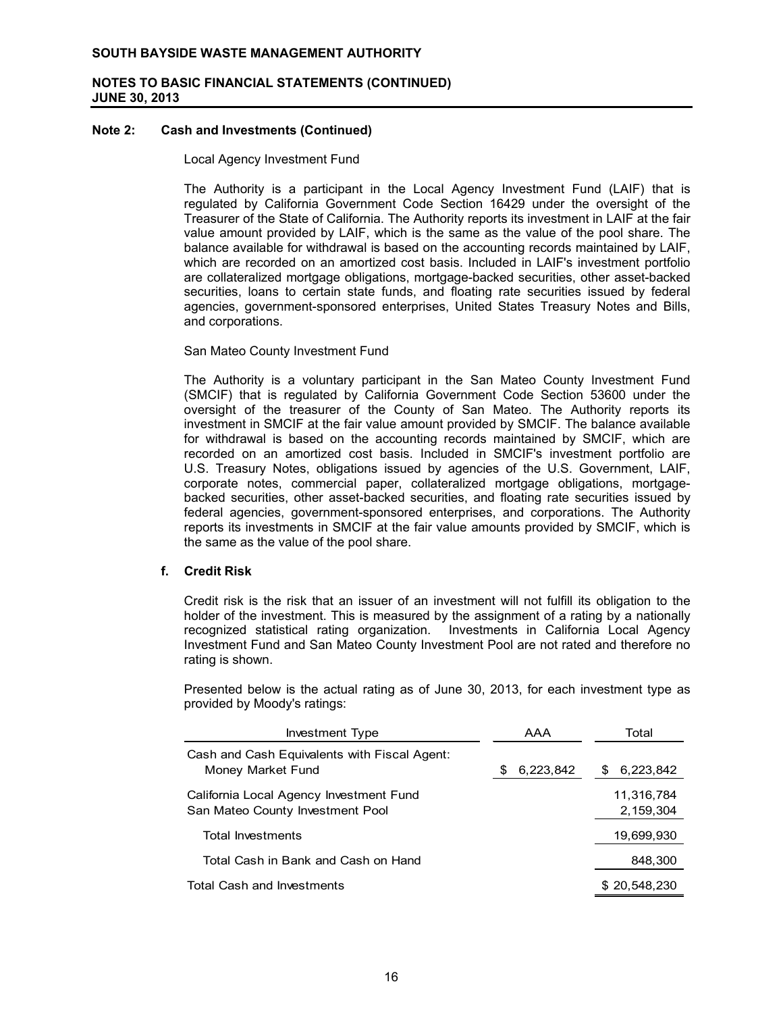## **Note 2: Cash and Investments (Continued)**

#### Local Agency Investment Fund

The Authority is a participant in the Local Agency Investment Fund (LAIF) that is regulated by California Government Code Section 16429 under the oversight of the Treasurer of the State of California. The Authority reports its investment in LAIF at the fair value amount provided by LAIF, which is the same as the value of the pool share. The balance available for withdrawal is based on the accounting records maintained by LAIF, which are recorded on an amortized cost basis. Included in LAIF's investment portfolio are collateralized mortgage obligations, mortgage-backed securities, other asset-backed securities, loans to certain state funds, and floating rate securities issued by federal agencies, government-sponsored enterprises, United States Treasury Notes and Bills, and corporations.

#### San Mateo County Investment Fund

The Authority is a voluntary participant in the San Mateo County Investment Fund (SMCIF) that is regulated by California Government Code Section 53600 under the oversight of the treasurer of the County of San Mateo. The Authority reports its investment in SMCIF at the fair value amount provided by SMCIF. The balance available for withdrawal is based on the accounting records maintained by SMCIF, which are recorded on an amortized cost basis. Included in SMCIF's investment portfolio are U.S. Treasury Notes, obligations issued by agencies of the U.S. Government, LAIF, corporate notes, commercial paper, collateralized mortgage obligations, mortgagebacked securities, other asset-backed securities, and floating rate securities issued by federal agencies, government-sponsored enterprises, and corporations. The Authority reports its investments in SMCIF at the fair value amounts provided by SMCIF, which is the same as the value of the pool share.

## **f. Credit Risk**

Credit risk is the risk that an issuer of an investment will not fulfill its obligation to the holder of the investment. This is measured by the assignment of a rating by a nationally recognized statistical rating organization. Investments in California Local Agency Investment Fund and San Mateo County Investment Pool are not rated and therefore no rating is shown.

Presented below is the actual rating as of June 30, 2013, for each investment type as provided by Moody's ratings:

| Investment Type                                                             | AAA             | Total                   |
|-----------------------------------------------------------------------------|-----------------|-------------------------|
| Cash and Cash Equivalents with Fiscal Agent:<br>Money Market Fund           | 6,223,842<br>S. | 6,223,842<br>S.         |
| California Local Agency Investment Fund<br>San Mateo County Investment Pool |                 | 11,316,784<br>2,159,304 |
| Total Investments                                                           |                 | 19,699,930              |
| Total Cash in Bank and Cash on Hand                                         |                 | 848,300                 |
| <b>Total Cash and Investments</b>                                           |                 | \$20.548.230            |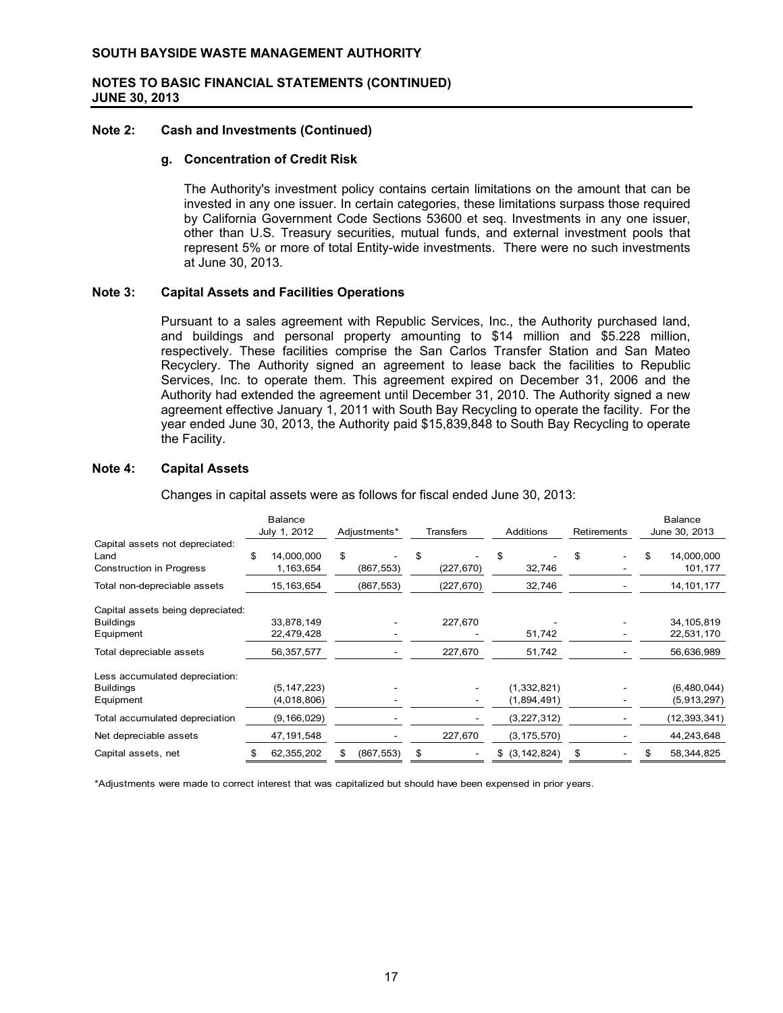#### **Note 2: Cash and Investments (Continued)**

#### **g. Concentration of Credit Risk**

The Authority's investment policy contains certain limitations on the amount that can be invested in any one issuer. In certain categories, these limitations surpass those required by California Government Code Sections 53600 et seq. Investments in any one issuer, other than U.S. Treasury securities, mutual funds, and external investment pools that represent 5% or more of total Entity-wide investments. There were no such investments at June 30, 2013.

#### **Note 3: Capital Assets and Facilities Operations**

Pursuant to a sales agreement with Republic Services, Inc., the Authority purchased land, and buildings and personal property amounting to \$14 million and \$5.228 million, respectively. These facilities comprise the San Carlos Transfer Station and San Mateo Recyclery. The Authority signed an agreement to lease back the facilities to Republic Services, Inc. to operate them. This agreement expired on December 31, 2006 and the Authority had extended the agreement until December 31, 2010. The Authority signed a new agreement effective January 1, 2011 with South Bay Recycling to operate the facility. For the year ended June 30, 2013, the Authority paid \$15,839,848 to South Bay Recycling to operate the Facility.

#### **Note 4: Capital Assets**

Changes in capital assets were as follows for fiscal ended June 30, 2013:

|                                                                            | <b>Balance</b><br>July 1, 2012<br>Adjustments*<br><b>Transfers</b><br><b>Additions</b> |                         |    | <b>Retirements</b> |                  | <b>Balance</b><br>June 30, 2013 |                     |    |  |    |                       |
|----------------------------------------------------------------------------|----------------------------------------------------------------------------------------|-------------------------|----|--------------------|------------------|---------------------------------|---------------------|----|--|----|-----------------------|
| Capital assets not depreciated:<br>Land<br><b>Construction in Progress</b> | \$                                                                                     | 14,000,000<br>1,163,654 | \$ | (867, 553)         | \$<br>(227, 670) | \$                              | 32,746              | \$ |  | \$ | 14,000,000<br>101,177 |
| Total non-depreciable assets                                               |                                                                                        | 15, 163, 654            |    | (867, 553)         | (227, 670)       |                                 | 32,746              |    |  |    | 14, 101, 177          |
| Capital assets being depreciated:                                          |                                                                                        |                         |    |                    |                  |                                 |                     |    |  |    |                       |
| <b>Buildings</b>                                                           |                                                                                        | 33,878,149              |    |                    | 227,670          |                                 |                     |    |  |    | 34, 105, 819          |
| Equipment                                                                  |                                                                                        | 22,479,428              |    |                    |                  |                                 | 51,742              |    |  |    | 22,531,170            |
| Total depreciable assets                                                   |                                                                                        | 56,357,577              |    |                    | 227,670          |                                 | 51,742              |    |  |    | 56,636,989            |
| Less accumulated depreciation:                                             |                                                                                        |                         |    |                    |                  |                                 |                     |    |  |    |                       |
| <b>Buildings</b>                                                           |                                                                                        | (5, 147, 223)           |    |                    |                  |                                 | (1,332,821)         |    |  |    | (6,480,044)           |
| Equipment                                                                  |                                                                                        | (4,018,806)             |    |                    |                  |                                 | (1,894,491)         |    |  |    | (5,913,297)           |
| Total accumulated depreciation                                             |                                                                                        | (9, 166, 029)           |    |                    |                  |                                 | (3,227,312)         |    |  |    | (12, 393, 341)        |
| Net depreciable assets                                                     |                                                                                        | 47,191,548              |    |                    | 227,670          |                                 | (3, 175, 570)       |    |  |    | 44,243,648            |
| Capital assets, net                                                        |                                                                                        | 62,355,202              | S  | (867, 553)         | \$               |                                 | $$$ $(3, 142, 824)$ | \$ |  |    | 58, 344, 825          |

\*Adjustments were made to correct interest that was capitalized but should have been expensed in prior years.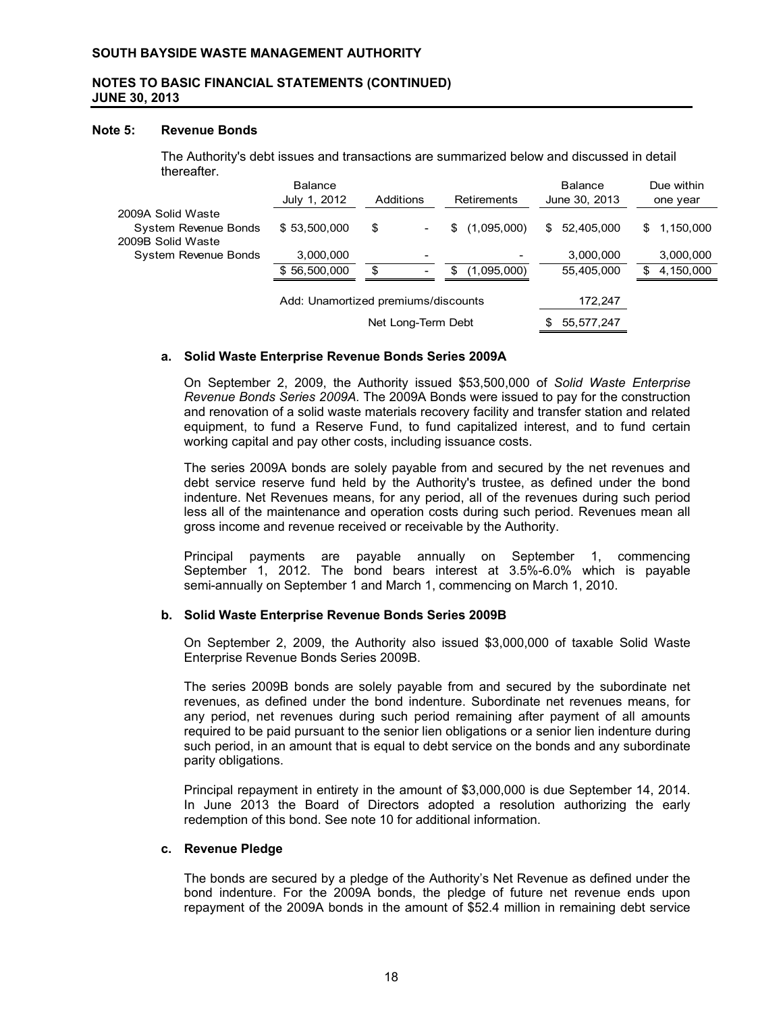#### **Note 5: Revenue Bonds**

The Authority's debt issues and transactions are summarized below and discussed in detail thereafter.

|                                                                | <b>Balance</b><br>July 1, 2012      | Additions |                                                      |    | Retirements                             |     | <b>Balance</b><br>June 30, 2013 |    | Due within<br>one year |
|----------------------------------------------------------------|-------------------------------------|-----------|------------------------------------------------------|----|-----------------------------------------|-----|---------------------------------|----|------------------------|
| 2009A Solid Waste<br>System Revenue Bonds<br>2009B Solid Waste | \$53,500,000                        | \$        |                                                      | S. | (1,095,000)                             | \$  | 52,405,000                      | \$ | 1,150,000              |
| System Revenue Bonds                                           | 3,000,000<br>\$56,500,000           | \$        | $\overline{\phantom{0}}$<br>$\overline{\phantom{a}}$ | S  | $\overline{\phantom{a}}$<br>(1,095,000) |     | 3,000,000<br>55,405,000         | S  | 3,000,000<br>4,150,000 |
|                                                                | Add: Unamortized premiums/discounts |           |                                                      |    |                                         |     | 172,247                         |    |                        |
|                                                                |                                     |           | Net Long-Term Debt                                   |    |                                         | SS. | 55,577,247                      |    |                        |

#### **a. Solid Waste Enterprise Revenue Bonds Series 2009A**

On September 2, 2009, the Authority issued \$53,500,000 of *Solid Waste Enterprise Revenue Bonds Series 2009A.* The 2009A Bonds were issued to pay for the construction and renovation of a solid waste materials recovery facility and transfer station and related equipment, to fund a Reserve Fund, to fund capitalized interest, and to fund certain working capital and pay other costs, including issuance costs.

The series 2009A bonds are solely payable from and secured by the net revenues and debt service reserve fund held by the Authority's trustee, as defined under the bond indenture. Net Revenues means, for any period, all of the revenues during such period less all of the maintenance and operation costs during such period. Revenues mean all gross income and revenue received or receivable by the Authority.

Principal payments are payable annually on September 1, commencing September 1, 2012. The bond bears interest at 3.5%-6.0% which is payable semi-annually on September 1 and March 1, commencing on March 1, 2010.

## **b. Solid Waste Enterprise Revenue Bonds Series 2009B**

On September 2, 2009, the Authority also issued \$3,000,000 of taxable Solid Waste Enterprise Revenue Bonds Series 2009B.

The series 2009B bonds are solely payable from and secured by the subordinate net revenues, as defined under the bond indenture. Subordinate net revenues means, for any period, net revenues during such period remaining after payment of all amounts required to be paid pursuant to the senior lien obligations or a senior lien indenture during such period, in an amount that is equal to debt service on the bonds and any subordinate parity obligations.

Principal repayment in entirety in the amount of \$3,000,000 is due September 14, 2014. In June 2013 the Board of Directors adopted a resolution authorizing the early redemption of this bond. See note 10 for additional information.

#### **c. Revenue Pledge**

The bonds are secured by a pledge of the Authority's Net Revenue as defined under the bond indenture. For the 2009A bonds, the pledge of future net revenue ends upon repayment of the 2009A bonds in the amount of \$52.4 million in remaining debt service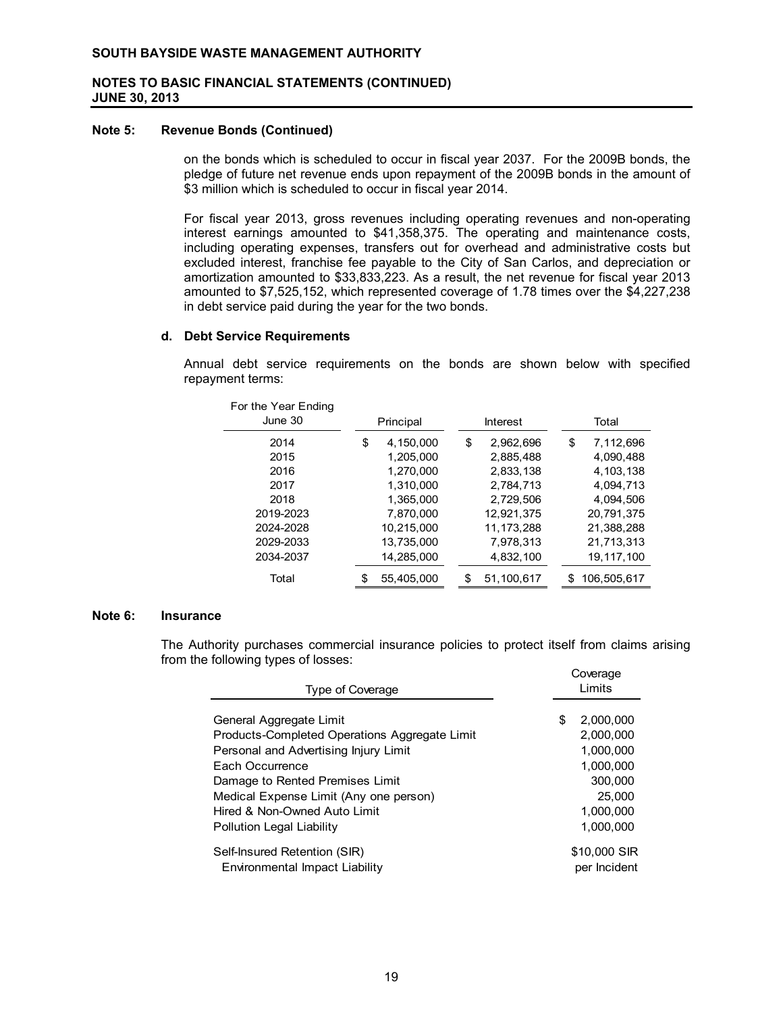#### **Note 5: Revenue Bonds (Continued)**

on the bonds which is scheduled to occur in fiscal year 2037. For the 2009B bonds, the pledge of future net revenue ends upon repayment of the 2009B bonds in the amount of \$3 million which is scheduled to occur in fiscal year 2014.

For fiscal year 2013, gross revenues including operating revenues and non-operating interest earnings amounted to \$41,358,375. The operating and maintenance costs, including operating expenses, transfers out for overhead and administrative costs but excluded interest, franchise fee payable to the City of San Carlos, and depreciation or amortization amounted to \$33,833,223. As a result, the net revenue for fiscal year 2013 amounted to \$7,525,152, which represented coverage of 1.78 times over the \$4,227,238 in debt service paid during the year for the two bonds.

#### **d. Debt Service Requirements**

Annual debt service requirements on the bonds are shown below with specified repayment terms:

| For the Year Ending<br>June 30 | Principal        | Interest         |     | Total       |
|--------------------------------|------------------|------------------|-----|-------------|
| 2014                           | \$<br>4,150,000  | \$<br>2,962,696  | \$  | 7,112,696   |
| 2015                           | 1,205,000        | 2.885.488        |     | 4,090,488   |
| 2016                           | 1.270.000        | 2.833.138        |     | 4.103.138   |
| 2017                           | 1.310.000        | 2,784,713        |     | 4,094,713   |
| 2018                           | 1.365.000        | 2.729.506        |     | 4.094.506   |
| 2019-2023                      | 7.870.000        | 12,921,375       |     | 20,791,375  |
| 2024-2028                      | 10.215.000       | 11.173.288       |     | 21.388.288  |
| 2029-2033                      | 13.735.000       | 7.978.313        |     | 21,713,313  |
| 2034-2037                      | 14,285,000       | 4,832,100        |     | 19.117.100  |
| Total                          | \$<br>55.405.000 | \$<br>51.100.617 | \$. | 106.505.617 |

#### **Note 6: Insurance**

The Authority purchases commercial insurance policies to protect itself from claims arising from the following types of losses:

| Type of Coverage                                                                                                  |    | Coverage<br>Limits                  |  |  |
|-------------------------------------------------------------------------------------------------------------------|----|-------------------------------------|--|--|
| General Aggregate Limit<br>Products-Completed Operations Aggregate Limit<br>Personal and Advertising Injury Limit | \$ | 2,000,000<br>2,000,000<br>1.000.000 |  |  |
| Each Occurrence<br>Damage to Rented Premises Limit                                                                |    | 1.000.000<br>300,000<br>25.000      |  |  |
| Medical Expense Limit (Any one person)<br>Hired & Non-Owned Auto Limit<br><b>Pollution Legal Liability</b>        |    | 1.000.000<br>1.000.000              |  |  |
| Self-Insured Retention (SIR)<br>Environmental Impact Liability                                                    |    | \$10,000 SIR<br>per Incident        |  |  |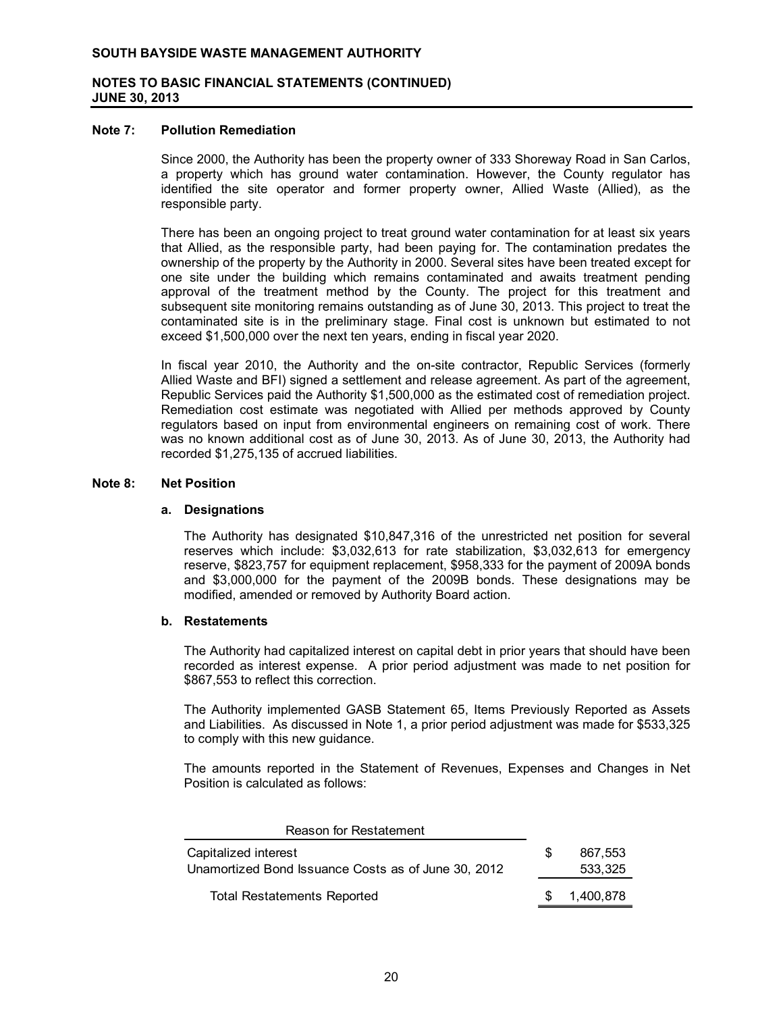#### **Note 7: Pollution Remediation**

Since 2000, the Authority has been the property owner of 333 Shoreway Road in San Carlos, a property which has ground water contamination. However, the County regulator has identified the site operator and former property owner, Allied Waste (Allied), as the responsible party.

There has been an ongoing project to treat ground water contamination for at least six years that Allied, as the responsible party, had been paying for. The contamination predates the ownership of the property by the Authority in 2000. Several sites have been treated except for one site under the building which remains contaminated and awaits treatment pending approval of the treatment method by the County. The project for this treatment and subsequent site monitoring remains outstanding as of June 30, 2013. This project to treat the contaminated site is in the preliminary stage. Final cost is unknown but estimated to not exceed \$1,500,000 over the next ten years, ending in fiscal year 2020.

In fiscal year 2010, the Authority and the on-site contractor, Republic Services (formerly Allied Waste and BFI) signed a settlement and release agreement. As part of the agreement, Republic Services paid the Authority \$1,500,000 as the estimated cost of remediation project. Remediation cost estimate was negotiated with Allied per methods approved by County regulators based on input from environmental engineers on remaining cost of work. There was no known additional cost as of June 30, 2013. As of June 30, 2013, the Authority had recorded \$1,275,135 of accrued liabilities.

#### **Note 8: Net Position**

#### **a. Designations**

The Authority has designated \$10,847,316 of the unrestricted net position for several reserves which include: \$3,032,613 for rate stabilization, \$3,032,613 for emergency reserve, \$823,757 for equipment replacement, \$958,333 for the payment of 2009A bonds and \$3,000,000 for the payment of the 2009B bonds. These designations may be modified, amended or removed by Authority Board action.

## **b. Restatements**

The Authority had capitalized interest on capital debt in prior years that should have been recorded as interest expense. A prior period adjustment was made to net position for \$867,553 to reflect this correction.

The Authority implemented GASB Statement 65, Items Previously Reported as Assets and Liabilities. As discussed in Note 1, a prior period adjustment was made for \$533,325 to comply with this new guidance.

The amounts reported in the Statement of Revenues, Expenses and Changes in Net Position is calculated as follows:

| Reason for Restatement                              |     |           |
|-----------------------------------------------------|-----|-----------|
| Capitalized interest                                | \$. | 867.553   |
| Unamortized Bond Issuance Costs as of June 30, 2012 |     | 533.325   |
| <b>Total Restatements Reported</b>                  | -SG | 1,400,878 |